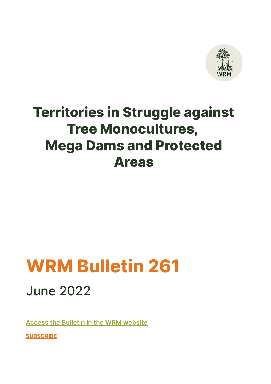

# **Territories in Struggle against Tree Monocultures, Mega Dams and Protected Areas**

# **WRM Bulletin 261** June 2022

**[Access the Bulletin in the WRM website](https://www.wrm.org.uy/bulletins/issue-261)**

**[SUBSCRIBE](https://www.wrm.org.uy/bulletin/subscribe)**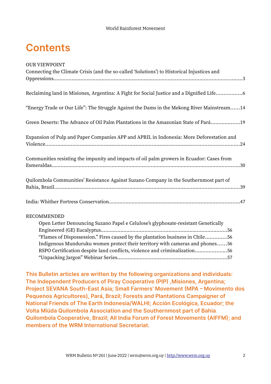# **Contents**

| <b>OUR VIEWPOINT</b>                                                                       |
|--------------------------------------------------------------------------------------------|
| Connecting the Climate Crisis (and the so-called 'Solutions') to Historical Injustices and |
|                                                                                            |
| Reclaiming land in Misiones, Argentina: A Fight for Social Justice and a Dignified Life6   |
| "Energy Trade or Our Life": The Struggle Against the Dams in the Mekong River Mainstream14 |
| Green Deserts: The Advance of Oil Palm Plantations in the Amazonian State of Pará19        |
| Expansion of Pulp and Paper Companies APP and APRIL in Indonesia: More Deforestation and   |
| Communities resisting the impunity and impacts of oil palm growers in Ecuador: Cases from  |
|                                                                                            |
| Quilombola Communities' Resistance Against Suzano Company in the Southernmost part of      |
|                                                                                            |
| <b>RECOMMENDED</b>                                                                         |
| Open Letter Denouncing Suzano Papel e Celulose's glyphosate-resistant Genetically          |
| "Flames of Dispossession." Fires caused by the plantation business in Chile56              |
| Indigenous Munduruku women protect their territory with cameras and phones56               |
| RSPO Certification despite land conflicts, violence and criminalization56                  |
|                                                                                            |

**This Bulletin articles are written by the following organizations and individuals: The Independent Producers of Piray Cooperative (PIP) ,Misiones, Argentina; Project SEVANA South-East Asia; Small Farmers' Movement (MPA – Movimento dos Pequenos Agricultores), Pará, Brazil; Forests and Plantations Campaigner of National Friends of The Earth Indonesia/WALHI; Acción Ecológica, Ecuador; the Volta Miúda Quilombola Association and the Southernmost part of Bahia Quilombola Cooperative, Brazil; All India Forum of Forest Movements (AIFFM); and members of the WRM International Secretariat.**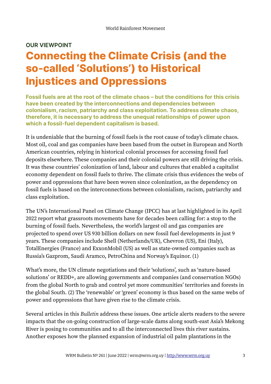### **OUR VIEWPOINT Connecting the Climate Crisis (and the so-called 'Solutions') to Historical Injustices and Oppressions**

**Fossil fuels are at the root of the climate chaos – but the conditions for this crisis have been created by the interconnections and dependencies between colonialism, racism, patriarchy and class exploitation. To address climate chaos, therefore, it is necessary to address the unequal relationships of power upon which a fossil-fuel dependent capitalism is based.**

It is undeniable that the burning of fossil fuels is the root cause of today's climate chaos. Most oil, coal and gas companies have been based from the outset in European and North American countries, relying in historical colonial processes for accessing fossil fuel deposits elsewhere. These companies and their colonial powers are still driving the crisis. It was these countries' colonization of land, labour and cultures that enabled a capitalist economy dependent on fossil fuels to thrive. The climate crisis thus evidences the webs of power and oppressions that have been woven since colonization, as the dependency on fossil fuels is based on the interconnections between colonialism, racism, patriarchy and class exploitation.

The UN's International Panel on Climate Change (IPCC) has at last highlighted in its April 2022 report what grassroots movements have for decades been calling for: a stop to the burning of fossil fuels. Nevertheless, the world's largest oil and gas companies are projected to spend over US 930 billion dollars on new fossil fuel developments in just 9 years. These companies include Shell (Netherlands/UK), Chevron (US), Eni (Italy), TotalEnergies (France) and ExxonMobil (US) as well as state-owned companies such as Russia's Gazprom, Saudi Aramco, PetroChina and Norway's Equinor. (1)

What's more, the UN climate negotiations and their 'solutions', such as 'nature-based solutions' or REDD+, are allowing governments and companies (and conservation NGOs) from the global North to grab and control yet more communities' territories and forests in the global South. (2) The 'renewable' or 'green' economy is thus based on the same webs of power and oppressions that have given rise to the climate crisis.

Several articles in this *Bulletin* address these issues. One article alerts readers to the severe impacts that the on-going construction of large-scale dams along south-east Asia's Mekong River is posing to communities and to all the interconnected lives this river sustains. Another exposes how the planned expansion of industrial oil palm plantations in the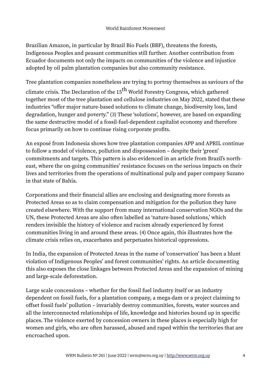Brazilian Amazon, in particular by Brazil Bio Fuels (BBF), threatens the forests, Indigenous Peoples and peasant communities still further. Another contribution from Ecuador documents not only the impacts on communities of the violence and injustice adopted by oil palm plantation companies but also community resistance.

Tree plantation companies nonetheless are trying to portray themselves as saviours of the climate crisis. The Declaration of the  $15<sup>th</sup>$  World Forestry Congress, which gathered together most of the tree plantation and cellulose industries on May 2022, stated that these industries "offer major nature-based solutions to climate change, biodiversity loss, land degradation, hunger and poverty." (3) These 'solutions', however, are based on expanding the same destructive model of a fossil-fuel-dependent capitalist economy and therefore focus primarily on how to continue rising corporate profits.

An exposé from Indonesia shows how tree plantation companies APP and APRIL continue to follow a model of violence, pollution and dispossession – despite their 'green' commitments and targets. This pattern is also evidenced in an article from Brazil's northeast, where the on-going communities' resistance focuses on the serious impacts on their lives and territories from the operations of multinational pulp and paper company Suzano in that state of Bahia.

Corporations and their financial allies are enclosing and designating more forests as Protected Areas so as to claim compensation and mitigation for the pollution they have created elsewhere. With the support from many international conservation NGOs and the UN, these Protected Areas are also often labelled as 'nature-based solutions,' which renders invisible the history of violence and racism already experienced by forest communities living in and around these areas. (4) Once again, this illustrates how the climate crisis relies on, exacerbates and perpetuates historical oppressions.

In India, the expansion of Protected Areas in the name of 'conservation' has been a blunt violation of Indigenous Peoples' and forest communities' rights. An article documenting this also exposes the close linkages between Protected Areas and the expansion of mining and large-scale deforestation.

Large scale concessions – whether for the fossil fuel industry itself or an industry dependent on fossil fuels, for a plantation company, a mega-dam or a project claiming to offset fossil fuels' pollution – invariably destroy communities, forests, water sources and all the interconnected relationships of life, knowledge and histories bound up in specific places. The violence exerted by concession owners in these places is especially high for women and girls, who are often harassed, abused and raped within the territories that are encroached upon.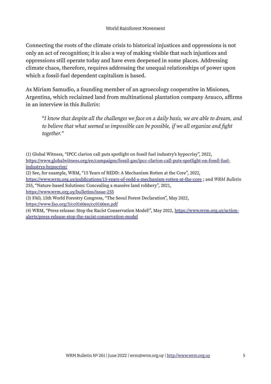Connecting the roots of the climate crisis to historical injustices and oppressions is not only an act of recognition; it is also a way of making visible that such injustices and oppressions still operate today and have even deepened in some places. Addressing climate chaos, therefore, requires addressing the unequal relationships of power upon which a fossil-fuel dependent capitalism is based.

As Miriam Samudio, a founding member of an agroecology cooperative in Misiones, Argentina, which reclaimed land from multinational plantation company Arauco, affirms in an interview in this *Bulletin*:

"*I know that despite all the challenges we face on a daily basis, we are able to dream, and to believe that what seemed so impossible can be possible, if we all organize and fight together."*

(1) Global Witness, "IPCC clarion call puts spotlight on fossil fuel industry's hypocrisy", 2022, [https://www.globalwitness.org/en/campaigns/fossil-gas/ipcc-clarion-call-puts-spotlight-on-fossil-fuel](https://www.globalwitness.org/en/campaigns/fossil-gas/ipcc-clarion-call-puts-spotlight-on-fossil-fuel-industrys-hypocrisy/)[industrys-hypocrisy/](https://www.globalwitness.org/en/campaigns/fossil-gas/ipcc-clarion-call-puts-spotlight-on-fossil-fuel-industrys-hypocrisy/)

(2) See, for example, WRM, "15 Years of REDD: A Mechanism Rotten at the Core", 2022,

<https://www.wrm.org.uy/publications/15-years-of-redd-a-mechanism-rotten-at-the-core>; and *WRM Bulletin*  255, "Nature-based Solutions: Concealing a massive land robbery", 2021,

<https://www.wrm.org.uy/bulletins/issue-255>

(3) FAO, 15th World Forestry Congress, "The Seoul Forest Declaration", May 2022, <https://www.fao.org/3/cc0160en/cc0160en.pdf>

(4) WRM, "Press release: Stop the Racist Conservation Model!", May 2022, [https://www.wrm.org.uy/action](https://www.wrm.org.uy/action-alerts/press-release-stop-the-racist-conservation-model)[alerts/press-release-stop-the-racist-conservation-model](https://www.wrm.org.uy/action-alerts/press-release-stop-the-racist-conservation-model)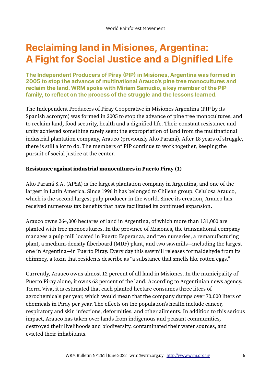# **Reclaiming land in Misiones, Argentina: A Fight for Social Justice and a Dignified Life**

**The Independent Producers of Piray (PIP) in Misiones, Argentina was formed in 2005 to stop the advance of multinational Arauco's pine tree monocultures and reclaim the land. WRM spoke with Miriam Samudio, a key member of the PIP family, to reflect on the process of the struggle and the lessons learned.** 

The Independent Producers of Piray Cooperative in Misiones Argentina (PIP by its Spanish acronym) was formed in 2005 to stop the advance of pine tree monocultures, and to reclaim land, food security, health and a dignified life. Their constant resistance and unity achieved something rarely seen: the expropriation of land from the multinational industrial plantation company, Arauco (previously Alto Paraná). After 18 years of struggle, there is still a lot to do. The members of PIP continue to work together, keeping the pursuit of social justice at the center.

#### **Resistance against industrial monocultures in Puerto Piray (1)**

Alto Paraná S.A. (APSA) is the largest plantation company in Argentina, and one of the largest in Latin America. Since 1996 it has belonged to Chilean group, Celulosa Arauco, which is the second largest pulp producer in the world. Since its creation, Arauco has received numerous tax benefits that have facilitated its continued expansion.

Arauco owns 264,000 hectares of land in Argentina, of which more than 131,000 are planted with tree monocultures. In the province of Misiones, the transnational company manages a pulp mill located in Puerto Esperanza, and two nurseries, a remanufacturing plant, a medium-density fiberboard (MDF) plant, and two sawmills—including the largest one in Argentina—in Puerto Piray. Every day this sawmill releases formaldehyde from its chimney, a toxin that residents describe as "a substance that smells like rotten eggs."

Currently, Arauco owns almost 12 percent of all land in Misiones. In the municipality of Puerto Piray alone, it owns 63 percent of the land. According to Argentinian news agency, Tierra Viva, it is estimated that each planted hectare consumes three liters of agrochemicals per year, which would mean that the company dumps over 70,000 liters of chemicals in Piray per year. The effects on the population's health include cancer, respiratory and skin infections, deformities, and other ailments. In addition to this serious impact, Arauco has taken over lands from indigenous and peasant communities, destroyed their livelihoods and biodiversity, contaminated their water sources, and evicted their inhabitants.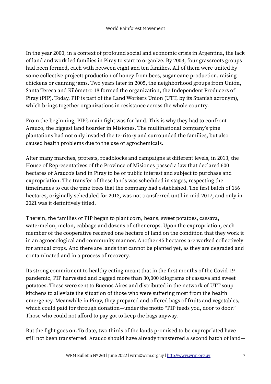In the year 2000, in a context of profound social and economic crisis in Argentina, the lack of land and work led families in Piray to start to organize. By 2003, four grassroots groups had been formed, each with between eight and ten families. All of them were united by some collective project: production of honey from bees, sugar cane production, raising chickens or canning jams. Two years later in 2005, the neighborhood groups from Unión, Santa Teresa and Kilómetro 18 formed the organization, the Independent Producers of Piray (PIP). Today, PIP is part of the Land Workers Union (UTT, by its Spanish acronym), which brings together organizations in resistance across the whole country.

From the beginning, PIP's main fight was for land. This is why they had to confront Arauco, the biggest land hoarder in Misiones. The multinational company's pine plantations had not only invaded the territory and surrounded the families, but also caused health problems due to the use of agrochemicals.

After many marches, protests, roadblocks and campaigns at different levels, in 2013, the House of Representatives of the Province of Misiones passed a law that declared 600 hectares of Arauco's land in Piray to be of public interest and subject to purchase and expropriation. The transfer of these lands was scheduled in stages, respecting the timeframes to cut the pine trees that the company had established. The first batch of 166 hectares, originally scheduled for 2013, was not transferred until in mid-2017, and only in 2021 was it definitively titled.

Therein, the families of PIP began to plant corn, beans, sweet potatoes, cassava, watermelon, melon, cabbage and dozens of other crops. Upon the expropriation, each member of the cooperative received one hectare of land on the condition that they work it in an agroecological and community manner. Another 45 hectares are worked collectively for annual crops. And there are lands that cannot be planted yet, as they are degraded and contaminated and in a process of recovery.

Its strong commitment to healthy eating meant that in the first months of the Covid-19 pandemic, PIP harvested and bagged more than 30,000 kilograms of cassava and sweet potatoes. These were sent to Buenos Aires and distributed in the network of UTT soup kitchens to alleviate the situation of those who were suffering most from the health emergency. Meanwhile in Piray, they prepared and offered bags of fruits and vegetables, which could paid for through donation—under the motto "PIP feeds you, door to door." Those who could not afford to pay got to keep the bags anyway.

But the fight goes on. To date, two thirds of the lands promised to be expropriated have still not been transferred. Arauco should have already transferred a second batch of land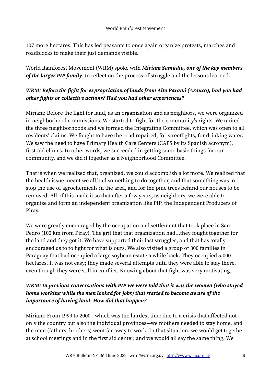107 more hectares. This has led peasants to once again organize protests, marches and roadblocks to make their just demands visible.

World Rainforest Movement (WRM) spoke with *Miriam Samudio, one of the key members of the larger PIP family*, to reflect on the process of struggle and the lessons learned.

### *WRM: Before the fight for expropriation of lands from Alto Paraná (Arauco), had you had other fights or collective actions? Had you had other experiences?*

Miriam: Before the fight for land, as an organization and as neighbors, we were organized in neighborhood commissions. We started to fight for the community's rights. We united the three neighborhoods and we formed the Integrating Committee, which was open to all residents' claims. We fought to have the road repaired, for streetlights, for drinking water. We saw the need to have Primary Health Care Centers (CAPS by its Spanish acronym), first-aid clinics. In other words, we succeeded in getting some basic things for our community, and we did it together as a Neighborhood Committee.

That is when we realized that, organized, we could accomplish a lot more. We realized that the health issue meant we all had something to do together, and that something was to stop the use of agrochemicals in the area, and for the pine trees behind our houses to be removed. All of this made it so that after a few years, as neighbors, we were able to organize and form an independent organization like PIP, the Independent Producers of Piray.

We were greatly encouraged by the occupation and settlement that took place in San Pedro (100 km from Piray). The grit that that organization had...they fought together for the land and they got it. We have supported their last struggles, and that has totally encouraged us to to fight for what is ours. We also visited a group of 300 families in Paraguay that had occupied a large soybean estate a while back. They occupied 5,000 hectares. It was not easy; they made several attempts until they were able to stay there, even though they were still in conflict. Knowing about that fight was very motivating.

### *WRM: In previous conversations with PIP we were told that it was the women (who stayed home working while the men looked for jobs) that started to become aware of the importance of having land. How did that happen?*

Miriam: From 1999 to 2000—which was the hardest time due to a crisis that affected not only the country but also the individual provinces—we mothers needed to stay home, and the men (fathers, brothers) went far away to work. In that situation, we would get together at school meetings and in the first aid center, and we would all say the same thing. We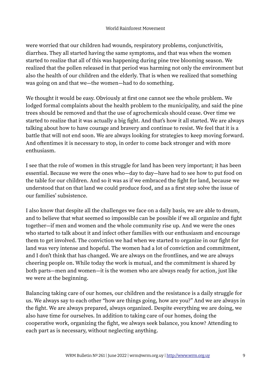were worried that our children had wounds, respiratory problems, conjunctivitis, diarrhea. They all started having the same symptoms, and that was when the women started to realize that all of this was happening during pine tree blooming season. We realized that the pollen released in that period was harming not only the environment but also the health of our children and the elderly. That is when we realized that something was going on and that we—the women—had to do something.

We thought it would be easy. Obviously at first one cannot see the whole problem. We lodged formal complaints about the health problem to the municipality, and said the pine trees should be removed and that the use of agrochemicals should cease. Over time we started to realize that it was actually a big fight. And that's how it all started. We are always talking about how to have courage and bravery and continue to resist. We feel that it is a battle that will not end soon. We are always looking for strategies to keep moving forward. And oftentimes it is necessary to stop, in order to come back stronger and with more enthusiasm.

I see that the role of women in this struggle for land has been very important; it has been essential. Because we were the ones who—day to day—have had to see how to put food on the table for our children. And so it was as if we embraced the fight for land, because we understood that on that land we could produce food, and as a first step solve the issue of our families' subsistence.

I also know that despite all the challenges we face on a daily basis, we are able to dream, and to believe that what seemed so impossible can be possible if we all organize and fight together—if men and women and the whole community rise up. And we were the ones who started to talk about it and infect other families with our enthusiasm and encourage them to get involved. The conviction we had when we started to organize in our fight for land was very intense and hopeful. The women had a lot of conviction and commitment, and I don't think that has changed. We are always on the frontlines, and we are always cheering people on. While today the work is mutual, and the commitment is shared by both parts—men and women—it is the women who are always ready for action, just like we were at the beginning.

Balancing taking care of our homes, our children and the resistance is a daily struggle for us. We always say to each other "how are things going, how are you?" And we are always in the fight. We are always prepared, always organized. Despite everything we are doing, we also have time for ourselves. In addition to taking care of our homes, doing the cooperative work, organizing the fight, we always seek balance, you know? Attending to each part as is necessary, without neglecting anything.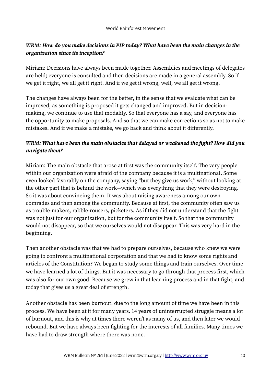### *WRM: How do you make decisions in PIP today? What have been the main changes in the organization since its inception?*

Miriam: Decisions have always been made together. Assemblies and meetings of delegates are held; everyone is consulted and then decisions are made in a general assembly. So if we get it right, we all get it right. And if we get it wrong, well, we all get it wrong.

The changes have always been for the better, in the sense that we evaluate what can be improved; as something is proposed it gets changed and improved. But in decisionmaking, we continue to use that modality. So that everyone has a say, and everyone has the opportunity to make proposals. And so that we can make corrections so as not to make mistakes. And if we make a mistake, we go back and think about it differently.

### *WRM: What have been the main obstacles that delayed or weakened the fight? How did you navigate them?*

Miriam: The main obstacle that arose at first was the community itself. The very people within our organization were afraid of the company because it is a multinational. Some even looked favorably on the company, saying "but they give us work," without looking at the other part that is behind the work—which was everything that they were destroying. So it was about convincing them. It was about raising awareness among our own comrades and then among the community. Because at first, the community often saw us as trouble-makers, rabble-rousers, picketers. As if they did not understand that the fight was not just for our organization, but for the community itself. So that the community would not disappear, so that we ourselves would not disappear. This was very hard in the beginning.

Then another obstacle was that we had to prepare ourselves, because who knew we were going to confront a multinational corporation and that we had to know some rights and articles of the Constitution? We began to study some things and train ourselves. Over time we have learned a lot of things. But it was necessary to go through that process first, which was also for our own good. Because we grew in that learning process and in that fight, and today that gives us a great deal of strength.

Another obstacle has been burnout, due to the long amount of time we have been in this process. We have been at it for many years. 14 years of uninterrupted struggle means a lot of burnout, and this is why at times there weren't as many of us, and then later we would rebound. But we have always been fighting for the interests of all families. Many times we have had to draw strength where there was none.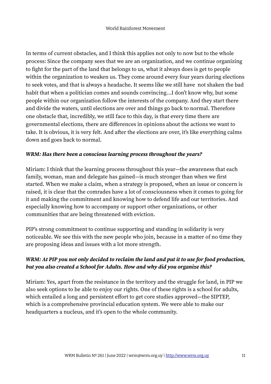In terms of current obstacles, and I think this applies not only to now but to the whole process: Since the company sees that we are an organization, and we continue organizing to fight for the part of the land that belongs to us, what it always does is get to people within the organization to weaken us. They come around every four years during elections to seek votes, and that is always a headache. It seems like we still have not shaken the bad habit that when a politician comes and sounds convincing...I don't know why, but some people within our organization follow the interests of the company. And they start there and divide the waters, until elections are over and things go back to normal. Therefore one obstacle that, incredibly, we still face to this day, is that every time there are governmental elections, there are differences in opinions about the actions we want to take. It is obvious, it is very felt. And after the elections are over, it's like everything calms down and goes back to normal.

#### *WRM: Has there been a conscious learning process throughout the years?*

Miriam: I think that the learning process throughout this year—the awareness that each family, woman, man and delegate has gained—is much stronger than when we first started. When we make a claim, when a strategy is proposed, when an issue or concern is raised, it is clear that the comrades have a lot of consciousness when it comes to going for it and making the commitment and knowing how to defend life and our territories. And especially knowing how to accompany or support other organizations, or other communities that are being threatened with eviction.

PIP's strong commitment to continue supporting and standing in solidarity is very noticeable. We see this with the new people who join, because in a matter of no time they are proposing ideas and issues with a lot more strength.

### *WRM: At PIP you not only decided to reclaim the land and put it to use for food production, but you also created a School for Adults. How and why did you organize this?*

Miriam: Yes, apart from the resistance in the territory and the struggle for land, in PIP we also seek options to be able to enjoy our rights. One of these rights is a school for adults, which entailed a long and persistent effort to get core studies approved—the SIPTEP, which is a comprehensive provincial education system. We were able to make our headquarters a nucleus, and it's open to the whole community.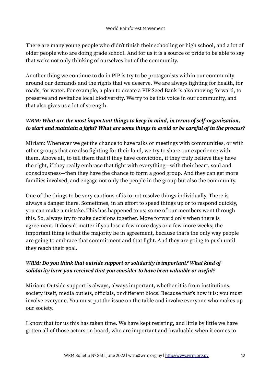There are many young people who didn't finish their schooling or high school, and a lot of older people who are doing grade school. And for us it is a source of pride to be able to say that we're not only thinking of ourselves but of the community.

Another thing we continue to do in PIP is try to be protagonists within our community around our demands and the rights that we deserve. We are always fighting for health, for roads, for water. For example, a plan to create a PIP Seed Bank is also moving forward, to preserve and revitalize local biodiversity. We try to be this voice in our community, and that also gives us a lot of strength.

### *WRM: What are the most important things to keep in mind, in terms of self-organization, to start and maintain a fight? What are some things to avoid or be careful of in the process?*

Miriam: Whenever we get the chance to have talks or meetings with communities, or with other groups that are also fighting for their land, we try to share our experience with them. Above all, to tell them that if they have conviction, if they truly believe they have the right, if they really embrace that fight with everything—with their heart, soul and consciousness—then they have the chance to form a good group. And they can get more families involved, and engage not only the people in the group but also the community.

One of the things to be very cautious of is to not resolve things individually. There is always a danger there. Sometimes, in an effort to speed things up or to respond quickly, you can make a mistake. This has happened to us; some of our members went through this. So, always try to make decisions together. Move forward only when there is agreement. It doesn't matter if you lose a few more days or a few more weeks; the important thing is that the majority be in agreement, because that's the only way people are going to embrace that commitment and that fight. And they are going to push until they reach their goal.

### *WRM: Do you think that outside support or solidarity is important? What kind of solidarity have you received that you consider to have been valuable or useful?*

Miriam: Outside support is always, always important, whether it is from institutions, society itself, media outlets, officials, or different blocs. Because that's how it is: you must involve everyone. You must put the issue on the table and involve everyone who makes up our society.

I know that for us this has taken time. We have kept resisting, and little by little we have gotten all of those actors on board, who are important and invaluable when it comes to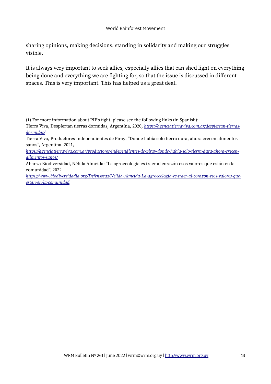#### World Rainforest Movement

sharing opinions, making decisions, standing in solidarity and making our struggles visible.

It is always very important to seek allies, especially allies that can shed light on everything being done and everything we are fighting for, so that the issue is discussed in different spaces. This is very important. This has helped us a great deal.

(1) For more information about PIP's fight, please see the following links (in Spanish):

Tierra Viva, Despiertan tierras dormidas, Argentina, 2020, *[https://agenciatierraviva.com.ar/despiertan-tierras](https://agenciatierraviva.com.ar/despiertan-tierras-dormidas/)[dormidas/](https://agenciatierraviva.com.ar/despiertan-tierras-dormidas/)*

Tierra Viva, Productores Independientes de Piray: "Donde había solo tierra dura, ahora crecen alimentos sanos", Argentina, 2021,

*[https://agenciatierraviva.com.ar/productores-independientes-de-piray-donde-habia-solo-tierra-dura-ahora-crecen](https://agenciatierraviva.com.ar/productores-independientes-de-piray-donde-habia-solo-tierra-dura-ahora-crecen-alimentos-sanos/)[alimentos-sanos/](https://agenciatierraviva.com.ar/productores-independientes-de-piray-donde-habia-solo-tierra-dura-ahora-crecen-alimentos-sanos/)*

Alianza Biodiversidad, Nélida Almeida: "La agroecología es traer al corazón esos valores que están en la comunidad", 2022

*[https://www.biodiversidadla.org/Defensoras/Nelida-Almeida-La-agroecologia-es-traer-al-corazon-esos-valores-que](https://www.biodiversidadla.org/Defensoras/Nelida-Almeida-La-agroecologia-es-traer-al-corazon-esos-valores-que-estan-en-la-comunidad)[estan-en-la-comunidad](https://www.biodiversidadla.org/Defensoras/Nelida-Almeida-La-agroecologia-es-traer-al-corazon-esos-valores-que-estan-en-la-comunidad)*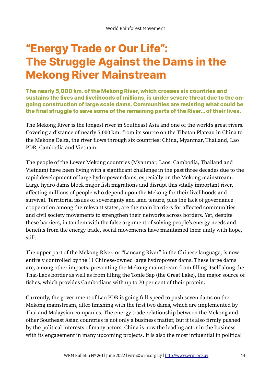# **"Energy Trade or Our Life": The Struggle Against the Dams in the Mekong River Mainstream**

**The nearly 5,000 km. of the Mekong River, which crosses six countries and sustains the lives and livelihoods of millions, is under severe threat due to the ongoing construction of large scale dams. Communities are resisting what could be the final struggle to save some of the remaining parts of the River… of their lives.** 

The Mekong River is the longest river in Southeast Asia and one of the world's great rivers. Covering a distance of nearly 5,000 km. from its source on the Tibetan Plateau in China to the Mekong Delta, the river flows through six countries: China, Myanmar, Thailand, Lao PDR, Cambodia and Vietnam.

The people of the Lower Mekong countries (Myanmar, Laos, Cambodia, Thailand and Vietnam) have been living with a significant challenge in the past three decades due to the rapid development of large hydropower dams, especially on the Mekong mainstream. Large hydro dams block major fish migrations and disrupt this vitally important river, affecting millions of people who depend upon the Mekong for their livelihoods and survival. Territorial issues of sovereignty and land tenure, plus the lack of governance cooperation among the relevant states, are the main barriers for affected communities and civil society movements to strengthen their networks across borders. Yet, despite these barriers, in tandem with the false argument of solving people's energy needs and benefits from the energy trade, social movements have maintained their unity with hope, still.

The upper part of the Mekong River, or "Lancang River" in the Chinese language, is now entirely controlled by the 11 Chinese-owned large hydropower dams. These large dams are, among other impacts, preventing the Mekong mainstream from filling itself along the Thai-Laos border as well as from filling the Tonle Sap (the Great Lake), the major source of fishes, which provides Cambodians with up to 70 per cent of their protein.

Currently, the government of Lao PDR is going full-speed to push seven dams on the Mekong mainstream, after finishing with the first two dams, which are implemented by Thai and Malaysian companies. The energy trade relationship between the Mekong and other Southeast Asian countries is not only a business matter, but it is also firmly pushed by the political interests of many actors. China is now the leading actor in the business with its engagement in many upcoming projects. It is also the most influential in political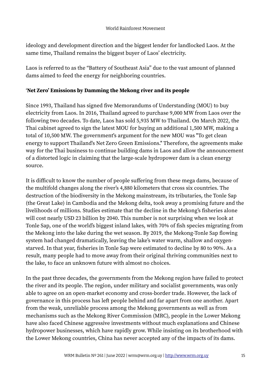ideology and development direction and the biggest lender for landlocked Laos. At the same time, Thailand remains the biggest buyer of Laos' electricity.

Laos is referred to as the "Battery of Southeast Asia" due to the vast amount of planned dams aimed to feed the energy for neighboring countries.

#### '**Net Zero' Emissions by Damming the Mekong river and its people**

Since 1993, Thailand has signed five Memorandums of Understanding (MOU) to buy electricity from Laos. In 2016, Thailand agreed to purchase 9,000 MW from Laos over the following two decades. To date, Laos has sold 5,935 MW to Thailand. On March 2022, the Thai cabinet agreed to sign the latest MOU for buying an additional 1,500 MW, making a total of 10,500 MW. The government's argument for the new MOU was "To get clean energy to support Thailand's Net Zero Green Emissions." Therefore, the agreements make way for the Thai business to continue building dams in Laos and allow the announcement of a distorted logic in claiming that the large-scale hydropower dam is a clean energy source.

It is difficult to know the number of people suffering from these mega dams, because of the multifold changes along the river's 4,880 kilometers that cross six countries. The destruction of the biodiversity in the Mekong mainstream, its tributaries, the Tonle Sap (the Great Lake) in Cambodia and the Mekong delta, took away a promising future and the livelihoods of millions. Studies estimate that the decline in the Mekong's fisheries alone will cost nearly USD 23 billion by 2040. This number is not surprising when we look at Tonle Sap, one of the world's biggest inland lakes, with 70% of fish species migrating from the Mekong into the lake during the wet season. By 2019, the Mekong-Tonle Sap flowing system had changed dramatically, leaving the lake's water warm, shallow and oxygenstarved. In that year, fisheries in Tonle Sap were estimated to decline by 80 to 90%. As a result, many people had to move away from their original thriving communities next to the lake, to face an unknown future with almost no choices.

In the past three decades, the governments from the Mekong region have failed to protect the river and its people. The region, under military and socialist governments, was only able to agree on an open-market economy and cross-border trade. However, the lack of governance in this process has left people behind and far apart from one another. Apart from the weak, unreliable process among the Mekong governments as well as from mechanisms such as the Mekong River Commission (MRC), people in the Lower Mekong have also faced Chinese aggressive investments without much explanations and Chinese hydropower businesses, which have rapidly grow. While insisting on its brotherhood with the Lower Mekong countries, China has never accepted any of the impacts of its dams.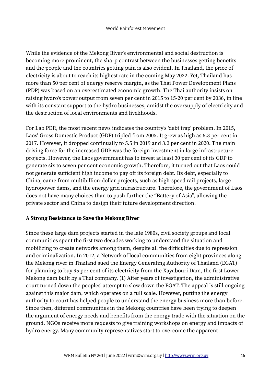While the evidence of the Mekong River's environmental and social destruction is becoming more prominent, the sharp contrast between the businesses getting benefits and the people and the countries getting pain is also evident. In Thailand, the price of electricity is about to reach its highest rate in the coming May 2022. Yet, Thailand has more than 50 per cent of energy reserve margin, as the Thai Power Development Plans (PDP) was based on an overestimated economic growth. The Thai authority insists on raising hydro's power output from seven per cent in 2015 to 15-20 per cent by 2036, in line with its constant support to the hydro businesses, amidst the oversupply of electricity and the destruction of local environments and livelihoods.

For Lao PDR, the most recent news indicates the country's 'debt trap' problem. In 2015, Laos' Gross Domestic Product (GDP) tripled from 2005. It grew as high as 6.3 per cent in 2017. However, it dropped continually to 5.5 in 2019 and 3.3 per cent in 2020. The main driving force for the increased GDP was the foreign investment in large infrastructure projects. However, the Laos government has to invest at least 30 per cent of its GDP to generate six to seven per cent economic growth. Therefore, it turned out that Laos could not generate sufficient high income to pay off its foreign debt. Its debt, especially to China, came from multibillion-dollar projects, such as high-speed rail projects, large hydropower dams, and the energy grid infrastructure. Therefore, the government of Laos does not have many choices than to push further the "Battery of Asia", allowing the private sector and China to design their future development direction.

#### **A Strong Resistance to Save the Mekong River**

Since these large dam projects started in the late 1980s, civil society groups and local communities spent the first two decades working to understand the situation and mobilizing to create networks among them, despite all the difficulties due to repression and criminalization. In 2012, a Network of local communities from eight provinces along the Mekong river in Thailand sued the Energy Generating Authority of Thailand (EGAT) for planning to buy 95 per cent of its electricity from the Xayabouri Dam, the first Lower Mekong dam built by a Thai company. (1) After years of investigation, the administrative court turned down the peoples' attempt to slow down the EGAT. The appeal is still ongoing against this major dam, which operates on a full scale. However, putting the energy authority to court has helped people to understand the energy business more than before. Since then, different communities in the Mekong countries have been trying to deepen the argument of energy needs and benefits from the energy trade with the situation on the ground. NGOs receive more requests to give training workshops on energy and impacts of hydro energy. Many community representatives start to overcome the apparent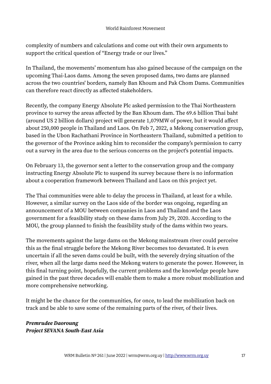complexity of numbers and calculations and come out with their own arguments to support the critical question of "Energy trade or our lives."

In Thailand, the movements' momentum has also gained because of the campaign on the upcoming Thai-Laos dams. Among the seven proposed dams, two dams are planned across the two countries' borders, namely Ban Khoum and Pak Chom Dams. Communities can therefore react directly as affected stakeholders.

Recently, the company Energy Absolute Plc asked permission to the Thai Northeastern province to survey the areas affected by the Ban Khoum dam. The 69.6 billion Thai baht (around US 2 billion dollars) project will generate 1,079MW of power, but it would affect about 250,000 people in Thailand and Laos. On Feb 7, 2022, a Mekong conservation group, based in the Ubon Rachathani Province in Northeastern Thailand, submitted a petition to the governor of the Province asking him to reconsider the company's permission to carry out a survey in the area due to the serious concerns on the project's potential impacts.

On February 13, the governor sent a letter to the conservation group and the company instructing Energy Absolute Plc to suspend its survey because there is no information about a cooperation framework between Thailand and Laos on this project yet.

The Thai communities were able to delay the process in Thailand, at least for a while. However, a similar survey on the Laos side of the border was ongoing, regarding an announcement of a MOU between companies in Laos and Thailand and the Laos government for a feasibility study on these dams from July 29, 2020. According to the MOU, the group planned to finish the feasibility study of the dams within two years.

The movements against the large dams on the Mekong mainstream river could perceive this as the final struggle before the Mekong River becomes too devastated. It is even uncertain if all the seven dams could be built, with the severely drying situation of the river, when all the large dams need the Mekong waters to generate the power. However, in this final turning point, hopefully, the current problems and the knowledge people have gained in the past three decades will enable them to make a more robust mobilization and more comprehensive networking.

It might be the chance for the communities, for once, to lead the mobilization back on track and be able to save some of the remaining parts of the river, of their lives.

*Premrudee Daoroung Project SEVANA South-East Asia*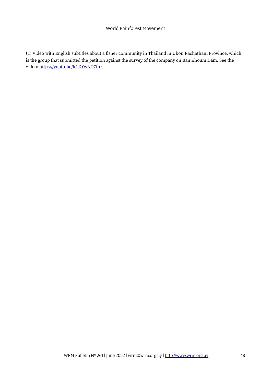#### World Rainforest Movement

(1) Video with English subtitles about a fisher community in Thailand in Ubon Rachathani Province, which is the group that submitted the petition against the survey of the company on Ban Khoum Dam. See the video:<https://youtu.be/kCDYwNO7fhk>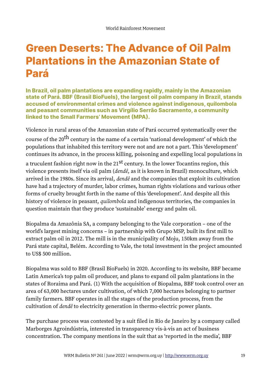# **Green Deserts: The Advance of Oil Palm Plantations in the Amazonian State of Pará**

**In Brazil, oil palm plantations are expanding rapidly, mainly in the Amazonian state of Pará. BBF (Brasil BioFuels), the largest oil palm company in Brazil, stands accused of environmental crimes and violence against indigenous, quilombola and peasant communities such as Virgílio Serrão Sacramento, a community linked to the Small Farmers' Movement (MPA).**

Violence in rural areas of the Amazonian state of Pará occurred systematically over the course of the 20<sup>th</sup> century in the name of a certain 'national development' of which the populations that inhabited this territory were not and are not a part. This 'development' continues its advance, in the process killing, poisoning and expelling local populations in a truculent fashion right now in the  $21^{st}$  century. In the lower Tocantins region, this violence presents itself via oil palm (*dendê*, as it is known in Brazil) monoculture, which arrived in the 1980s. Since its arrival, *dendê* and the companies that exploit its cultivation have had a trajectory of murder, labor crimes, human rights violations and various other forms of cruelty brought forth in the name of this 'development'. And despite all this history of violence in peasant, *quilombola* and indigenous territories, the companies in question maintain that they produce 'sustainable' energy and palm oil.

Biopalma da Amazônia SA, a company belonging to the Vale corporation – one of the world's largest mining concerns – in partnership with Grupo MSP, built its first mill to extract palm oil in 2012. The mill is in the municipality of Moju, 150km away from the Pará state capital, Belém. According to Vale, the total investment in the project amounted to US\$ 500 million.

Biopalma was sold to BBF (Brasil BioFuels) in 2020. According to its website, BBF became Latin America's top palm oil producer, and plans to expand oil palm plantations in the states of Roraima and Pará. (1) With the acquisition of Biopalma, BBF took control over an area of 63,000 hectares under cultivation, of which 7,000 hectares belonging to partner family farmers. BBF operates in all the stages of the production process, from the cultivation of *dendê* to electricity generation in thermo-electric power plants.

The purchase process was contested by a suit filed in Rio de Janeiro by a company called Marborges Agroindústria, interested in transparency vis-à-vis an act of business concentration. The company mentions in the suit that as 'reported in the media', BBF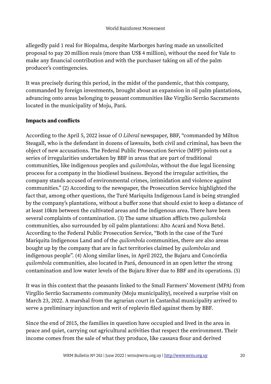allegedly paid 1 real for Biopalma, despite Marborges having made an unsolicited proposal to pay 20 million reais (more than US\$ 4 million), without the need for Vale to make any financial contribution and with the purchaser taking on all of the palm producer's contingencies.

It was precisely during this period, in the midst of the pandemic, that this company, commanded by foreign investments, brought about an expansion in oil palm plantations, advancing onto areas belonging to peasant communities like Virgílio Serrão Sacramento located in the municipality of Moju, Pará.

#### **Impacts and conflicts**

According to the April 5, 2022 issue of *O Liberal* newspaper, BBF, "commanded by Milton Steagall, who is the defendant in dozens of lawsuits, both civil and criminal, has been the object of new accusations. The Federal Public Prosecution Service (MPF) points out a series of irregularities undertaken by BBF in areas that are part of traditional communities, like indigenous peoples and *quilombolas*, without the due legal licensing process for a company in the biodiesel business. Beyond the irregular activities, the company stands accused of environmental crimes, intimidation and violence against communities." (2) According to the newspaper, the Prosecution Service highlighted the fact that, among other questions, the Turé Mariquita Indigenous Land is being strangled by the company's plantations, without a buffer zone that should exist to keep a distance of at least 10km between the cultivated areas and the indigenous area. There have been several complaints of contamination. (3) The same situation afflicts two *quilombola* communities, also surrounded by oil palm plantations: Alto Acará and Nova Betel. According to the Federal Public Prosecution Service, "Both in the case of the Turé Mariquita Indigenous Land and of the *quilombola* communities, there are also areas bought up by the company that are in fact territories claimed by *quilombolas* and indigenous people". (4) Along similar lines, in April 2022, the Bujaru and Concórdia *quilombola* communities, also located in Pará, denounced in an open letter the strong contamination and low water levels of the Bujaru River due to BBF and its operations. (5)

It was in this context that the peasants linked to the Small Farmers' Movement (MPA) from Virgílio Serrão Sacramento community (Moju municipality), received a surprise visit on March 23, 2022. A marshal from the agrarian court in Castanhal municipality arrived to serve a preliminary injunction and writ of replevin filed against them by BBF.

Since the end of 2015, the families in question have occupied and lived in the area in peace and quiet, carrying out agricultural activities that respect the environment. Their income comes from the sale of what they produce, like cassava flour and derived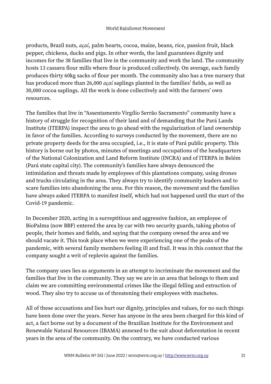products, Brazil nuts, *açaí*, palm hearts, cocoa, maize, beans, rice, passion fruit, black pepper, chickens, ducks and pigs. In other words, the land guarantees dignity and incomes for the 38 families that live in the community and work the land. The community hosts 13 cassava flour mills where flour is produced collectively. On average, each family produces thirty 60kg sacks of flour per month. The community also has a tree nursery that has produced more than 26,000 *açaí* saplings planted in the families' fields, as well as 30,000 cocoa saplings. All the work is done collectively and with the farmers' own resources.

The families that live in "Assentamento Virgílio Serrão Sacramento" community have a history of struggle for recognition of their land and of demanding that the Pará Lands Institute (ITERPA) inspect the area to go ahead with the regularization of land ownership in favor of the families. According to surveys conducted by the movement, there are no private property deeds for the area occupied, i.e., it is state of Pará public property. This history is borne out by photos, minutes of meetings and occupations of the headquarters of the National Colonization and Land Reform Institute (INCRA) and of ITERPA in Belém (Pará state capital city). The community's families have always denounced the intimidation and threats made by employees of this plantations company, using drones and trucks circulating in the area. They always try to identify community leaders and to scare families into abandoning the area. For this reason, the movement and the families have always asked ITERPA to manifest itself, which had not happened until the start of the Covid-19 pandemic.

In December 2020, acting in a surreptitious and aggressive fashion, an employee of BioPalma (now BBF) entered the area by car with two security guards, taking photos of people, their homes and fields, and saying that the company owned the area and we should vacate it. This took place when we were experiencing one of the peaks of the pandemic, with several family members feeling ill and frail. It was in this context that the company sought a writ of replevin against the families.

The company uses lies as arguments in an attempt to incriminate the movement and the families that live in the community. They say we are in an area that belongs to them and claim we are committing environmental crimes like the illegal felling and extraction of wood. They also try to accuse us of threatening their employees with machetes.

All of these accusations and lies hurt our dignity, principles and values, for no such things have been done over the years. Never has anyone in the area been charged for this kind of act, a fact borne out by a document of the Brazilian Institute for the Environment and Renewable Natural Resources (IBAMA) annexed to the suit about deforestation in recent years in the area of the community. On the contrary, we have conducted various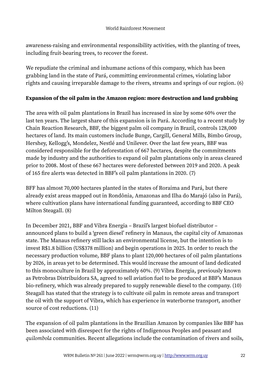awareness-raising and environmental responsibility activities, with the planting of trees, including fruit-bearing trees, to recover the forest.

We repudiate the criminal and inhumane actions of this company, which has been grabbing land in the state of Pará, committing environmental crimes, violating labor rights and causing irreparable damage to the rivers, streams and springs of our region. (6)

#### **Expansion of the oil palm in the Amazon region: more destruction and land grabbing**

The area with oil palm plantations in Brazil has increased in size by some 60% over the last ten years. The largest share of this expansion is in Pará. According to a recent study by Chain Reaction Research, BBF, the biggest palm oil company in Brazil, controls 128,000 hectares of land. Its main customers include Bunge, Cargill, General Mills, Bimbo Group, Hershey, Kellogg's, Mondelez, Nestlé and Unilever. Over the last few years, BBF was considered responsible for the deforestation of 667 hectares, despite the commitments made by industry and the authorities to expand oil palm plantations only in areas cleared prior to 2008. Most of these 667 hectares were deforested between 2019 and 2020. A peak of 165 fire alerts was detected in BBF's oil palm plantations in 2020. (7)

BFF has almost 70,000 hectares planted in the states of Roraima and Pará, but there already exist areas mapped out in Rondônia, Amazonas and Ilha do Marajó (also in Pará), where cultivation plans have international funding guaranteed, according to BBF CEO Milton Steagall. (8)

In December 2021, BBF and Vibra Energia – Brazil's largest biofuel distributor – announced plans to build a 'green diesel' refinery in Manaus, the capital city of Amazonas state. The Manaus refinery still lacks an environmental license, but the intention is to invest R\$1.8 billion (US\$378 million) and begin operations in 2025. In order to reach the necessary production volume, BBF plans to plant 120,000 hectares of oil palm plantations by 2026, in areas yet to be determined. This would increase the amount of land dedicated to this monoculture in Brazil by approximately 60%. (9) Vibra Energia, previously known as Petrobras Distribuidora SA, agreed to sell aviation fuel to be produced at BBF's Manaus bio-refinery, which was already prepared to supply renewable diesel to the company. (10) Steagall has stated that the strategy is to cultivate oil palm in remote areas and transport the oil with the support of Vibra, which has experience in waterborne transport, another source of cost reductions. (11)

The expansion of oil palm plantations in the Brazilian Amazon by companies like BBF has been associated with disrespect for the rights of Indigenous Peoples and peasant and *quilombola* communities. Recent allegations include the contamination of rivers and soils,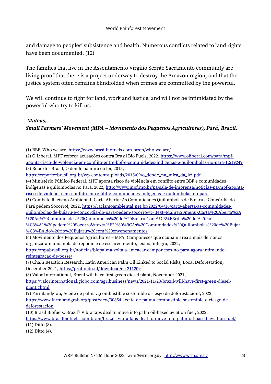#### World Rainforest Movement

and damage to peoples' subsistence and health. Numerous conflicts related to land rights have been documented. (12)

The families that live in the Assentamento Virgílio Serrão Sacramento community are living proof that there is a project underway to destroy the Amazon region, and that the justice system often remains blindfolded when crimes are committed by the powerful.

We will continue to fight for land, work and justice, and will not be intimidated by the powerful who try to kill us.

#### *Mateus,*

#### *Small Farmers' Movement (MPA – Movimento dos Pequenos Agricultores), Pará, Brazil.*

(1) BBF, Who we are,<https://www.brasilbiofuels.com.br/en/who-we-are/>

(2) O Liberal, MPF reforça acusações contra Brasil Bio Fuels, 2022, [https://www.oliberal.com/para/mpf](https://www.oliberal.com/para/mpf-aponta-risco-de-violencia-em-conflito-entre-bbf-e-comunidades-indigenas-e-quilombolas-no-para-1.519249)[aponta-risco-de-violencia-em-conflito-entre-bbf-e-comunidades-indigenas-e-quilombolas-no-para-1.519249](https://www.oliberal.com/para/mpf-aponta-risco-de-violencia-em-conflito-entre-bbf-e-comunidades-indigenas-e-quilombolas-no-para-1.519249) (3) Repórter Brasil, O dendê na mira da lei, 2015,

[https://reporterbrasil.org.br/wp-content/uploads/2015/09/o\\_dende\\_na\\_mira\\_da\\_lei.pdf](https://reporterbrasil.org.br/wp-content/uploads/2015/09/o_dende_na_mira_da_lei.pdf)

(4) Ministério Público Federal, MPF aponta risco de violência em conflito entre BBF e comunidades indígenas e quilombolas no Pará, 2022, [http://www.mpf.mp.br/pa/sala-de-imprensa/noticias-pa/mpf-aponta](http://www.mpf.mp.br/pa/sala-de-imprensa/noticias-pa/mpf-aponta-risco-de-violencia-em-conflito-entre-bbf-e-comunidades-indigenas-e-quilombolas-no-para)[risco-de-violencia-em-conflito-entre-bbf-e-comunidades-indigenas-e-quilombolas-no-para](http://www.mpf.mp.br/pa/sala-de-imprensa/noticias-pa/mpf-aponta-risco-de-violencia-em-conflito-entre-bbf-e-comunidades-indigenas-e-quilombolas-no-para)

(5) Combate Racismo Ambiental, Carta Aberta: As Comunidades Quilombolas de Bujaru e Concórdia do Pará pedem Socorro!, 2022, [https://racismoambiental.net.br/2022/04/16/carta-aberta-as-comunidades](https://racismoambiental.net.br/2022/04/16/carta-aberta-as-comunidades-quilombolas-de-bujaru-e-concordia-do-para-pedem-socorro/#:~:text=Main%20menu-,Carta%20Aberta%3A%20As%20Comunidades%20Quilombolas%20de%20Bujaru,Conc%C3%B3rdia%20do%20Par%C3%A1%20pedem%20Socorro!&text=%E2%80%9CAs%20Comunidades%20Quilombolas%20de%20Bujar%C3%BA,do%20rio%20Bujaru%20com%20envenenamentos)[quilombolas-de-bujaru-e-concordia-do-para-pedem-socorro/#:~:text=Main%20menu-,Carta%20Aberta%3A](https://racismoambiental.net.br/2022/04/16/carta-aberta-as-comunidades-quilombolas-de-bujaru-e-concordia-do-para-pedem-socorro/#:~:text=Main%20menu-,Carta%20Aberta%3A%20As%20Comunidades%20Quilombolas%20de%20Bujaru,Conc%C3%B3rdia%20do%20Par%C3%A1%20pedem%20Socorro!&text=%E2%80%9CAs%20Comunidades%20Quilombolas%20de%20Bujar%C3%BA,do%20rio%20Bujaru%20com%20envenenamentos) %20As%20Comunidades%20Quilombolas%20de%20Bujaru,Conc%C3%B3rdia%20do%20Par %C3%A1%20pedem%20Socorro!&text=%E2%80%9CAs%20Comunidades%20Quilombolas%20de%20Bujar

[%C3%BA,do%20rio%20Bujaru%20com%20envenenamentos](https://racismoambiental.net.br/2022/04/16/carta-aberta-as-comunidades-quilombolas-de-bujaru-e-concordia-do-para-pedem-socorro/#:~:text=Main%20menu-,Carta%20Aberta%3A%20As%20Comunidades%20Quilombolas%20de%20Bujaru,Conc%C3%B3rdia%20do%20Par%C3%A1%20pedem%20Socorro!&text=%E2%80%9CAs%20Comunidades%20Quilombolas%20de%20Bujar%C3%BA,do%20rio%20Bujaru%20com%20envenenamentos)

(6) Movimento dos Pequenos Agricultores – MPA, Camponeses que ocupam área a mais de 7 anos organizaram uma nota de repúdio e de esclarecimento, leia na íntegra, 2022,

[https://mpabrasil.org.br/noticias/biopalma-volta-a-ameacar-camponeses-no-para-agora-intimando](https://mpabrasil.org.br/noticias/biopalma-volta-a-ameacar-camponeses-no-para-agora-intimando-reintegracao-de-posse/)[reintegracao-de-posse/](https://mpabrasil.org.br/noticias/biopalma-volta-a-ameacar-camponeses-no-para-agora-intimando-reintegracao-de-posse/)

(7) Chain Reaction Research, Latin American Palm Oil Linked to Social Risks, Local Deforestation, December 2021, <https://profundo.nl/download/crr211209>

(8) Valor International, Brazil will have first green diesel plant, November 2021,

[https://valorinternational.globo.com/agribusiness/news/2021/11/23/brazil-will-have-first-green-diesel](https://valorinternational.globo.com/agribusiness/news/2021/11/23/brazil-will-have-first-green-diesel-plant.ghtml)[plant.ghtml](https://valorinternational.globo.com/agribusiness/news/2021/11/23/brazil-will-have-first-green-diesel-plant.ghtml)

(9) Farmlandgrab, Aceite de palma: ¿combustible sostenible o riesgo de deforestación?, 2022, [https://www.farmlandgrab.org/post/view/30854-aceite-de-palma-combustible-sostenible-o-riesgo-de](https://www.farmlandgrab.org/post/view/30854-aceite-de-palma-combustible-sostenible-o-riesgo-de-deforestacion)[deforestacion](https://www.farmlandgrab.org/post/view/30854-aceite-de-palma-combustible-sostenible-o-riesgo-de-deforestacion)

(10) Brasil Biofuels, Brazil's Vibra taps deal to move into palm oil-based aviation fuel, 2022, <https://www.brasilbiofuels.com.br/en/brazils-vibra-taps-deal-to-move-into-palm-oil-based-aviation-fuel/>

(11) Ditto (8).

(12) Ditto (4).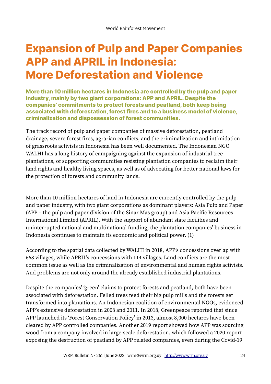# **Expansion of Pulp and Paper Companies APP and APRIL in Indonesia: More Deforestation and Violence**

**More than 10 million hectares in Indonesia are controlled by the pulp and paper industry, mainly by two giant corporations: APP and APRIL. Despite the companies' commitments to protect forests and peatland, both keep being associated with deforestation, forest fires and to a business model of violence, criminalization and dispossession of forest communities.** 

The track record of pulp and paper companies of massive deforestation, peatland drainage, severe forest fires, agrarian conflicts, and the criminalization and intimidation of grassroots activists in Indonesia has been well documented. The Indonesian NGO WALHI has a long history of campaigning against the expansion of industrial tree plantations, of supporting communities resisting plantation companies to reclaim their land rights and healthy living spaces, as well as of advocating for better national laws for the protection of forests and community lands.

More than 10 million hectares of land in Indonesia are currently controlled by the pulp and paper industry, with two giant corporations as dominant players: Asia Pulp and Paper (APP – the pulp and paper division of the Sinar Mas group) and Asia Pacific Resources International Limited (APRIL). With the support of abundant state facilities and uninterrupted national and multinational funding, the plantation companies' business in Indonesia continues to maintain its economic and political power. (1)

According to the spatial data collected by WALHI in 2018, APP's concessions overlap with 668 villages, while APRIL's concessions with 114 villages. Land conflicts are the most common issue as well as the criminalization of environmental and human rights activists. And problems are not only around the already established industrial plantations.

Despite the companies' 'green' claims to protect forests and peatland, both have been associated with deforestation. Felled trees feed their big pulp mills and the forests get transformed into plantations. An Indonesian coalition of environmental NGOs, evidenced APP's extensive deforestation in 2008 and 2011. In 2018, Greenpeace reported that since APP launched its 'Forest Conservation Policy' in 2013, almost 8,000 hectares have been cleared by APP controlled companies. Another 2019 report showed how APP was sourcing wood from a company involved in large-scale deforestation, which followed a 2020 report exposing the destruction of peatland by APP related companies, even during the Covid-19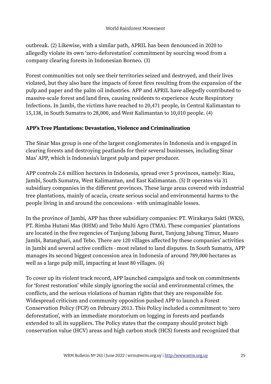outbreak. (2) Likewise, with a similar path, APRIL has been denounced in 2020 to allegedly violate its own 'zero-deforestation' commitment by sourcing wood from a company clearing forests in Indonesian Borneo. (3)

Forest communities not only see their territories seized and destroyed, and their lives violated, but they also bare the impacts of forest fires resulting from the expansion of the pulp and paper and the palm oil industries. APP and APRIL have allegedly contributed to massive-scale forest and land fires, causing residents to experience Acute Respiratory Infections. In Jambi, the victims have reached to 20,471 people, in Central Kalimantan to 15,138, in South Sumatra to 28,000, and West Kalimantan to 10,010 people. (4)

#### **APP's Tree Plantations: Devastation, Violence and Criminalization**

The Sinar Mas group is one of the largest conglomerates in Indonesia and is engaged in clearing forests and destroying peatlands for their several businesses, including Sinar Mas' APP, which is Indonesia's largest pulp and paper producer.

APP controls 2.6 million hectares in Indonesia, spread over 5 provinces, namely: Riau, Jambi, South Sumatra, West Kalimantan, and East Kalimantan. (5) It operates via 31 subsidiary companies in the different provinces. These large areas covered with industrial tree plantations, mainly of acacia, create serious social and environmental harms to the people living in and around the concessions - with unimaginable losses.

In the province of Jambi, APP has three subsidiary companies: PT. Wirakarya Sakti (WKS), PT. Rimba Hutani Mas (RHM) and Tebo Multi Agro (TMA). These companies' plantations are located in the five regencies of Tanjung Jabung Barat, Tanjung Jabung Timur, Muaro Jambi, Batanghari, and Tebo. There are 120 villages affected by these companies' activities in Jambi and several active conflicts - most related to land disputes. In South Sumatra, APP manages its second biggest concession area in Indonesia of around 789,000 hectares as well as a large pulp mill, impacting at least 80 villages. (6)

To cover up its violent track record, APP launched campaigns and took on commitments for 'forest restoration' while simply ignoring the social and environmental crimes, the conflicts, and the serious violations of human rights that they are responsible for. Widespread criticism and community opposition pushed APP to launch a Forest Conservation Policy (FCP) on February 2013. This Policy included a commitment to 'zero deforestation', with an immediate moratorium on logging in forests and peatlands extended to all its suppliers. The Policy states that the company should protect high conservation value (HCV) areas and high carbon stock (HCS) forests and recognized that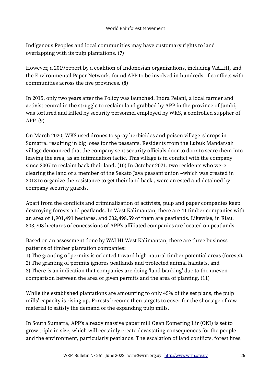#### World Rainforest Movement

Indigenous Peoples and local communities may have customary rights to land overlapping with its pulp plantations. (7)

However, a 2019 report by a coalition of Indonesian organizations, including WALHI, and the Environmental Paper Network, found APP to be involved in hundreds of conflicts with communities across the five provinces. (8)

In 2015, only two years after the Policy was launched, Indra Pelani, a local farmer and activist central in the struggle to reclaim land grabbed by APP in the province of Jambi, was tortured and killed by security personnel employed by WKS, a controlled supplier of APP. (9)

On March 2020, WKS used drones to spray herbicides and poison villagers' crops in Sumatra, resulting in big loses for the peasants. Residents from the Lubuk Mandarsah village denounced that the company sent security officials door to door to scare them into leaving the area, as an intimidation tactic. This village is in conflict with the company since 2007 to reclaim back their land. (10) In October 2021, two residents who were clearing the land of a member of the Sekato Jaya peasant union –which was created in 2013 to organize the resistance to get their land back-, were arrested and detained by company security guards.

Apart from the conflicts and criminalization of activists, pulp and paper companies keep destroying forests and peatlands. In West Kalimantan, there are 41 timber companies with an area of 1,901,491 hectares, and 302,498.59 of them are peatlands. Likewise, in Riau, 803,708 hectares of concessions of APP's affiliated companies are located on peatlands.

Based on an assessment done by WALHI West Kalimantan, there are three business patterns of timber plantation companies:

1) The granting of permits is oriented toward high natural timber potential areas (forests),

2) The granting of permits ignores peatlands and protected animal habitats, and

3) There is an indication that companies are doing 'land banking' due to the uneven comparison between the area of given permits and the area of planting. (11)

While the established plantations are amounting to only 45% of the set plans, the pulp mills' capacity is rising up. Forests become then targets to cover for the shortage of raw material to satisfy the demand of the expanding pulp mills.

In South Sumatra, APP's already massive paper mill Ogan Komering Ilir (OKI) is set to grow triple in size, which will certainly create devastating consequences for the people and the environment, particularly peatlands. The escalation of land conflicts, forest fires,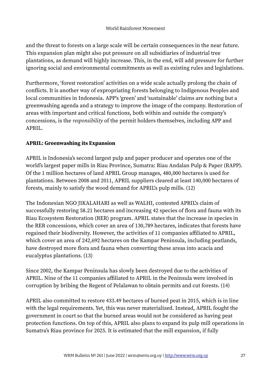and the threat to forests on a large scale will be certain consequences in the near future. This expansion plan might also put pressure on all subsidiaries of industrial tree plantations, as demand will highly increase. This, in the end, will add pressure for further ignoring social and environmental commitments as well as existing rules and legislations.

Furthermore, 'forest restoration' activities on a wide scale actually prolong the chain of conflicts. It is another way of expropriating forests belonging to Indigenous Peoples and local communities in Indonesia. APP's 'green' and 'sustainable' claims are nothing but a greenwashing agenda and a strategy to improve the image of the company. Restoration of areas with important and critical functions, both within and outside the company's concessions, is the *responsibility* of the permit holders themselves, including APP and APRIL.

#### **APRIL: Greenwashing its Expansion**

APRIL is Indonesia's second largest pulp and paper producer and operates one of the world's largest paper mills in Riau Province, Sumatra: Riau Andalan Pulp & Paper (RAPP). Of the 1 million hectares of land APRIL Group manages, 480,000 hectares is used for plantations. Between 2008 and 2011, APRIL suppliers cleared at least 140,000 hectares of forests, mainly to satisfy the wood demand for APRIL's pulp mills. (12)

The Indonesian NGO JIKALAHARI as well as WALHI, contested APRIL's claim of successfully restoring 58.21 hectares and increasing 42 species of flora and fauna with its Riau Ecosystem Restoration (RER) program. APRIL states that the increase in species in the RER concessions, which cover an area of 130,789 hectares, indicates that forests have regained their biodiversity. However, the activities of 11 companies affiliated to APRIL, which cover an area of 242,692 hectares on the Kampar Peninsula, including peatlands, have destroyed more flora and fauna when converting these areas into acacia and eucalyptus plantations. (13)

Since 2002, the Kampar Peninsula has slowly been destroyed due to the activities of APRIL. Nine of the 11 companies affiliated to APRIL in the Peninsula were involved in corruption by bribing the Regent of Pelalawan to obtain permits and cut forests. (14)

APRIL also committed to restore 433.49 hectares of burned peat in 2015, which is in line with the legal requirements. Yet, this was never materialized. Instead, APRIL fought the government in court so that the burned areas would not be considered as having peat protection functions. On top of this, APRIL also plans to expand its pulp mill operations in Sumatra's Riau province for 2025. It is estimated that the mill expansion, if fully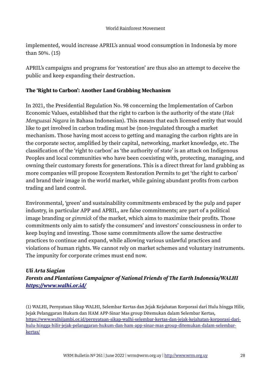implemented, would increase APRIL's annual wood consumption in Indonesia by more than 50%. (15)

APRIL's campaigns and programs for 'restoration' are thus also an attempt to deceive the public and keep expanding their destruction.

#### **The 'Right to Carbon': Another Land Grabbing Mechanism**

In 2021, the Presidential Regulation No. 98 concerning the Implementation of Carbon Economic Values, established that the right to carbon is the authority of the state (*Hak Menguasai Negara* in Bahasa Indonesian). This means that each licensed entity that would like to get involved in carbon trading must be (non-)regulated through a market mechanism. Those having most access to getting and managing the carbon rights are in the corporate sector, amplified by their capital, networking, market knowledge, etc. The classification of the 'right to carbon' as 'the authority of state' is an attack on Indigenous Peoples and local communities who have been coexisting with, protecting, managing, and owning their customary forests for generations. This is a direct threat for land grabbing as more companies will propose Ecosystem Restoration Permits to get 'the right to carbon' and brand their image in the world market, while gaining abundant profits from carbon trading and land control.

Environmental, 'green' and sustainability commitments embraced by the pulp and paper industry, in particular APP and APRIL, are false commitments; are part of a political image branding or *gimmick* of the market, which aims to maximize their profits. Those commitments only aim to satisfy the consumers' and investors' consciousness in order to keep buying and investing. Those same commitments allow the same destructive practices to continue and expand, while allowing various unlawful practices and violations of human rights. We cannot rely on market schemes and voluntary instruments. The impunity for corporate crimes must end now.

#### *Uli Arta Siagian*

#### *Forests and Plantations Campaigner of National Friends of The Earth Indonesia/WALHI <https://www.walhi.or.id/>*

(1) WALHI, Pernyataan Sikap WALHI, Selembar Kertas dan Jejak Kejahatan Korporasi dari Hulu hingga Hilir, Jejak Pelanggaran Hukum dan HAM APP-Sinar Mas group Ditemukan dalam Selembar Kertas, [https://www.walhijambi.or.id/pernyataan-sikap-walhi-selembar-kertas-dan-jejak-kejahatan-korporasi-dari](https://www.walhijambi.or.id/pernyataan-sikap-walhi-selembar-kertas-dan-jejak-kejahatan-korporasi-dari-hulu-hingga-hilir-jejak-pelanggaran-hukum-dan-ham-app-sinar-mas-group-ditemukan-dalam-selembar-kertas/)[hulu-hingga-hilir-jejak-pelanggaran-hukum-dan-ham-app-sinar-mas-group-ditemukan-dalam-selembar](https://www.walhijambi.or.id/pernyataan-sikap-walhi-selembar-kertas-dan-jejak-kejahatan-korporasi-dari-hulu-hingga-hilir-jejak-pelanggaran-hukum-dan-ham-app-sinar-mas-group-ditemukan-dalam-selembar-kertas/)[kertas/](https://www.walhijambi.or.id/pernyataan-sikap-walhi-selembar-kertas-dan-jejak-kejahatan-korporasi-dari-hulu-hingga-hilir-jejak-pelanggaran-hukum-dan-ham-app-sinar-mas-group-ditemukan-dalam-selembar-kertas/)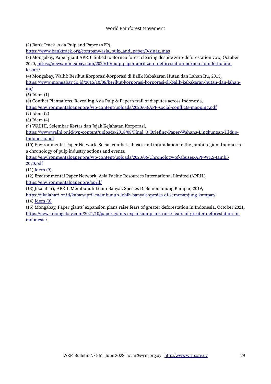#### World Rainforest Movement

(2) Bank Track, Asia Pulp and Paper (APP),

[https://www.banktrack.org/company/asia\\_pulp\\_and\\_paper/0/sinar\\_mas](https://www.banktrack.org/company/asia_pulp_and_paper/0/sinar_mas)

(3) Mongabay, Paper giant APRIL linked to Borneo forest clearing despite zero-deforestation vow, October 2020, [https://news.mongabay.com/2020/10/pulp-paper-april-zero-deforestation-borneo-adindo-hutani](https://news.mongabay.com/2020/10/pulp-paper-april-zero-deforestation-borneo-adindo-hutani-lestari/)[lestari/](https://news.mongabay.com/2020/10/pulp-paper-april-zero-deforestation-borneo-adindo-hutani-lestari/)

(4) Mongabay, Walhi: Berikut Korporasi-korporasi di Balik Kebakaran Hutan dan Lahan Itu, 2015, [https://www.mongabay.co.id/2015/10/06/berikut-korporasi-korporasi-di-balik-kebakaran-hutan-dan-lahan](https://www.mongabay.co.id/2015/10/06/berikut-korporasi-korporasi-di-balik-kebakaran-hutan-dan-lahan-itu/)[itu/](https://www.mongabay.co.id/2015/10/06/berikut-korporasi-korporasi-di-balik-kebakaran-hutan-dan-lahan-itu/)

(5) Idem (1)

(6) Conflict Plantations. Revealing Asia Pulp & Paper's trail of disputes across Indonesia,

<https://environmentalpaper.org/wp-content/uploads/2020/03/APP-social-conflicts-mapping.pdf>

(7) Idem (2)

(8) Idem (4)

(9) WALHI, Selembar Kertas dan Jejak Kejahatan Korporasi,

[https://www.walhi.or.id/wp-content/uploads/2018/08/Final\\_3\\_Briefing-Paper-Wahana-Lingkungan-Hidup-](https://www.walhi.or.id/wp-content/uploads/2018/08/Final_3_Briefing-Paper-Wahana-Lingkungan-Hidup-Indonesia.pdf)[Indonesia.pdf](https://www.walhi.or.id/wp-content/uploads/2018/08/Final_3_Briefing-Paper-Wahana-Lingkungan-Hidup-Indonesia.pdf)

(10) Environmental Paper Network, Social conflict, abuses and intimidation in the Jambi region, Indonesia a chronology of pulp industry actions and events,

[https://environmentalpaper.org/wp-content/uploads/2020/06/Chronology-of-abuses-APP-WKS-Jambi-](https://environmentalpaper.org/wp-content/uploads/2020/06/Chronology-of-abuses-APP-WKS-Jambi-2020.pdf)[2020.pdf](https://environmentalpaper.org/wp-content/uploads/2020/06/Chronology-of-abuses-APP-WKS-Jambi-2020.pdf)

(11) [Idem \(9\)](https://www.walhi.or.id/wp-content/uploads/2018/08/Final_3_Briefing-Paper-Wahana-Lingkungan-Hidup-Indonesia.pdf)

(12) Environmental Paper Network, Asia Pacific Resources International Limited (APRIL), <https://environmentalpaper.org/april/>

(13) Jikalabari, APRIL Membunuh Lebih Banyak Spesies Di Semenanjung Kampar, 2019,

<https://jikalahari.or.id/kabar/april-membunuh-lebih-banyak-spesies-di-semenanjung-kampar/>

(14) [Idem \(9\)](https://www.walhi.or.id/wp-content/uploads/2018/08/Final_3_Briefing-Paper-Wahana-Lingkungan-Hidup-Indonesia.pdf)

(15) Mongabay, Paper giants' expansion plans raise fears of greater deforestation in Indonesia, October 2021, [https://news.mongabay.com/2021/10/paper-giants-expansion-plans-raise-fears-of-greater-deforestation-in](https://news.mongabay.com/2021/10/paper-giants-expansion-plans-raise-fears-of-greater-deforestation-in-indonesia/)[indonesia/](https://news.mongabay.com/2021/10/paper-giants-expansion-plans-raise-fears-of-greater-deforestation-in-indonesia/)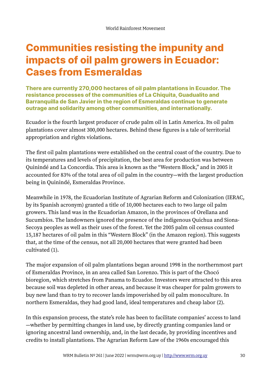# **Communities resisting the impunity and impacts of oil palm growers in Ecuador: Cases from Esmeraldas**

**There are currently 270,000 hectares of oil palm plantations in Ecuador. The resistance processes of the communities of La Chiquita, Guadualito and Barranquilla de San Javier in the region of Esmeraldas continue to generate outrage and solidarity among other communities, and internationally.** 

Ecuador is the fourth largest producer of crude palm oil in Latin America. Its oil palm plantations cover almost 300,000 hectares. Behind these figures is a tale of territorial appropriation and rights violations.

The first oil palm plantations were established on the central coast of the country. Due to its temperatures and levels of precipitation, the best area for production was between Quinindé and La Concordia. This area is known as the "Western Block," and in 2005 it accounted for 83% of the total area of oil palm in the country—with the largest production being in Quinindé, Esmeraldas Province.

Meanwhile in 1978, the Ecuadorian Institute of Agrarian Reform and Colonization (IERAC, by its Spanish acronym) granted a title of 10,000 hectares each to two large oil palm growers. This land was in the Ecuadorian Amazon, in the provinces of Orellana and Sucumbíos. The landowners ignored the presence of the indigenous Quichua and Siona-Secoya peoples as well as their uses of the forest. Yet the 2005 palm oil census counted 15,187 hectares of oil palm in this "Western Block" (in the Amazon region). This suggests that, at the time of the census, not all 20,000 hectares that were granted had been cultivated (1).

The major expansion of oil palm plantations began around 1998 in the northernmost part of Esmeraldas Province, in an area called San Lorenzo. This is part of the Chocó bioregion, which stretches from Panama to Ecuador. Investors were attracted to this area because soil was depleted in other areas, and because it was cheaper for palm growers to buy new land than to try to recover lands impoverished by oil palm monoculture. In northern Esmeraldas, they had good land, ideal temperatures and cheap labor (2).

In this expansion process, the state's role has been to facilitate companies' access to land —whether by permitting changes in land use, by directly granting companies land or ignoring ancestral land ownership, and, in the last decade, by providing incentives and credits to install plantations. The Agrarian Reform Law of the 1960s encouraged this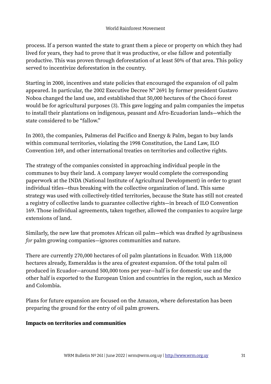process. If a person wanted the state to grant them a piece or property on which they had lived for years, they had to prove that it was productive, or else fallow and potentially productive. This was proven through deforestation of at least 50% of that area. This policy served to incentivize deforestation in the country.

Starting in 2000, incentives and state policies that encouraged the expansion of oil palm appeared. In particular, the 2002 Executive Decree Nº 2691 by former president Gustavo Noboa changed the land use, and established that 50,000 hectares of the Chocó forest would be for agricultural purposes (3). This gave logging and palm companies the impetus to install their plantations on indigenous, peasant and Afro-Ecuadorian lands—which the state considered to be "fallow."

In 2003, the companies, Palmeras del Pacifico and Energy & Palm, began to buy lands within communal territories, violating the 1998 Constitution, the Land Law, ILO Convention 169, and other international treaties on territories and collective rights.

The strategy of the companies consisted in approaching individual people in the communes to buy their land. A company lawyer would complete the corresponding paperwork at the INDA (National Institute of Agricultural Development) in order to grant individual titles—thus breaking with the collective organization of land. This same strategy was used with collectively-titled territories, because the State has still not created a registry of collective lands to guarantee collective rights—in breach of ILO Convention 169. Those individual agreements, taken together, allowed the companies to acquire large extensions of land.

Similarly, the new law that promotes African oil palm—which was drafted *by* agribusiness *for* palm growing companies—ignores communities and nature.

There are currently 270,000 hectares of oil palm plantations in Ecuador. With 118,000 hectares already, Esmeraldas is the area of greatest expansion. Of the total palm oil produced in Ecuador—around 500,000 tons per year—half is for domestic use and the other half is exported to the European Union and countries in the region, such as Mexico and Colombia.

Plans for future expansion are focused on the Amazon, where deforestation has been preparing the ground for the entry of oil palm growers.

#### **Impacts on territories and communities**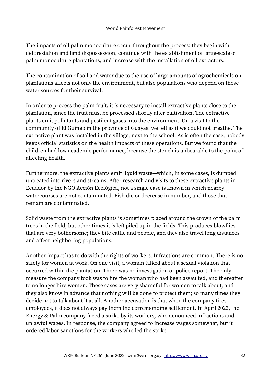The impacts of oil palm monoculture occur throughout the process: they begin with deforestation and land dispossession, continue with the establishment of large-scale oil palm monoculture plantations, and increase with the installation of oil extractors.

The contamination of soil and water due to the use of large amounts of agrochemicals on plantations affects not only the environment, but also populations who depend on those water sources for their survival.

In order to process the palm fruit, it is necessary to install extractive plants close to the plantation, since the fruit must be processed shortly after cultivation. The extractive plants emit pollutants and pestilent gases into the environment. On a visit to the community of El Guineo in the province of Guayas, we felt as if we could not breathe. The extractive plant was installed in the village, next to the school. As is often the case, nobody keeps official statistics on the health impacts of these operations. But we found that the children had low academic performance, because the stench is unbearable to the point of affecting health.

Furthermore, the extractive plants emit liquid waste—which, in some cases, is dumped untreated into rivers and streams. After research and visits to these extractive plants in Ecuador by the NGO Acción Ecológica, not a single case is known in which nearby watercourses are not contaminated. Fish die or decrease in number, and those that remain are contaminated.

Solid waste from the extractive plants is sometimes placed around the crown of the palm trees in the field, but other times it is left piled up in the fields. This produces blowflies that are very bothersome; they bite cattle and people, and they also travel long distances and affect neighboring populations.

Another impact has to do with the rights of workers. Infractions are common. There is no safety for women at work. On one visit, a woman talked about a sexual violation that occurred within the plantation. There was no investigation or police report. The only measure the company took was to fire the woman who had been assaulted, and thereafter to no longer hire women. These cases are very shameful for women to talk about, and they also know in advance that nothing will be done to protect them; so many times they decide not to talk about it at all. Another accusation is that when the company fires employees, it does not always pay them the corresponding settlement. In April 2022, the Energy & Palm company faced a strike by its workers, who denounced infractions and unlawful wages. In response, the company agreed to increase wages somewhat, but it ordered labor sanctions for the workers who led the strike.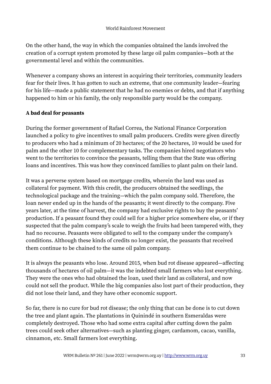On the other hand, the way in which the companies obtained the lands involved the creation of a corrupt system promoted by these large oil palm companies—both at the governmental level and within the communities.

Whenever a company shows an interest in acquiring their territories, community leaders fear for their lives. It has gotten to such an extreme, that one community leader—fearing for his life—made a public statement that he had no enemies or debts, and that if anything happened to him or his family, the only responsible party would be the company.

#### **A bad deal for peasants**

During the former government of Rafael Correa, the National Finance Corporation launched a policy to give incentives to small palm producers. Credits were given directly to producers who had a minimum of 20 hectares; of the 20 hectares, 10 would be used for palm and the other 10 for complementary tasks. The companies hired negotiators who went to the territories to convince the peasants, telling them that the State was offering loans and incentives. This was how they convinced families to plant palm on their land.

It was a perverse system based on mortgage credits, wherein the land was used as collateral for payment. With this credit, the producers obtained the seedlings, the technological package and the training—which the palm company sold. Therefore, the loan never ended up in the hands of the peasants; it went directly to the company. Five years later, at the time of harvest, the company had exclusive rights to buy the peasants' production. If a peasant found they could sell for a higher price somewhere else, or if they suspected that the palm company's scale to weigh the fruits had been tampered with, they had no recourse. Peasants were obligated to sell to the company under the company's conditions. Although these kinds of credits no longer exist, the peasants that received them continue to be chained to the same oil palm company.

It is always the peasants who lose. Around 2015, when bud rot disease appeared—affecting thousands of hectares of oil palm—it was the indebted small farmers who lost everything. They were the ones who had obtained the loan, used their land as collateral, and now could not sell the product. While the big companies also lost part of their production, they did not lose their land, and they have other economic support.

So far, there is no cure for bud rot disease; the only thing that can be done is to cut down the tree and plant again. The plantations in Quinindé in southern Esmeraldas were completely destroyed. Those who had some extra capital after cutting down the palm trees could seek other alternatives—such as planting ginger, cardamom, cacao, vanilla, cinnamon, etc. Small farmers lost everything.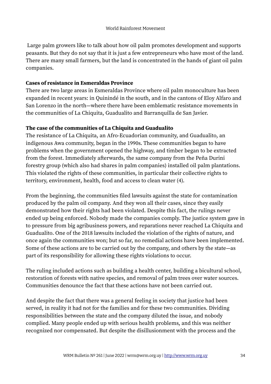Large palm growers like to talk about how oil palm promotes development and supports peasants. But they do not say that it is just a few entrepreneurs who have most of the land. There are many small farmers, but the land is concentrated in the hands of giant oil palm companies.

#### **Cases of resistance in Esmeraldas Province**

There are two large areas in Esmeraldas Province where oil palm monoculture has been expanded in recent years: in Quinindé in the south, and in the cantons of Eloy Alfaro and San Lorenzo in the north—where there have been emblematic resistance movements in the communities of La Chiquita, Guadualito and Barranquilla de San Javier.

#### **The case of the communities of La Chiquita and Guadualito**

The resistance of La Chiquita, an Afro-Ecuadorian community, and Guadualito, an indigenous Awa community, began in the 1990s. These communities began to have problems when the government opened the highway, and timber began to be extracted from the forest. Immediately afterwards, the same company from the Peña Durini forestry group (which also had shares in palm companies) installed oil palm plantations. This violated the rights of these communities, in particular their collective rights to territory, environment, health, food and access to clean water (4).

From the beginning, the communities filed lawsuits against the state for contamination produced by the palm oil company. And they won all their cases, since they easily demonstrated how their rights had been violated. Despite this fact, the rulings never ended up being enforced. Nobody made the companies comply. The justice system gave in to pressure from big agribusiness powers, and reparations never reached La Chiquita and Guadualito. One of the 2018 lawsuits included the violation of the rights of nature, and once again the communities won; but so far, no remedial actions have been implemented. Some of these actions are to be carried out by the company, and others by the state—as part of its responsibility for allowing these rights violations to occur.

The ruling included actions such as building a health center, building a bicultural school, restoration of forests with native species, and removal of palm trees over water sources. Communities denounce the fact that these actions have not been carried out.

And despite the fact that there was a general feeling in society that justice had been served, in reality it had not for the families and for these two communities. Dividing responsibilities between the state and the company diluted the issue, and nobody complied. Many people ended up with serious health problems, and this was neither recognized nor compensated. But despite the disillusionment with the process and the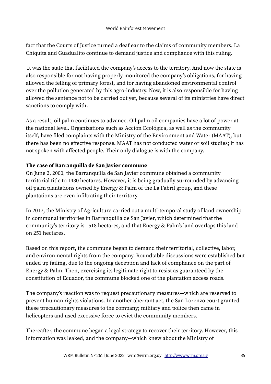fact that the Courts of Justice turned a deaf ear to the claims of community members, La Chiquita and Guadualito continue to demand justice and compliance with this ruling.

It was the state that facilitated the company's access to the territory. And now the state is also responsible for not having properly monitored the company's obligations, for having allowed the felling of primary forest, and for having abandoned environmental control over the pollution generated by this agro-industry. Now, it is also responsible for having allowed the sentence not to be carried out yet, because several of its ministries have direct sanctions to comply with.

As a result, oil palm continues to advance. Oil palm oil companies have a lot of power at the national level. Organizations such as Acción Ecológica, as well as the community itself, have filed complaints with the Ministry of the Environment and Water (MAAT), but there has been no effective response. MAAT has not conducted water or soil studies; it has not spoken with affected people. Their only dialogue is with the company.

#### **The case of Barranquilla de San Javier commune**

On June 2, 2000, the Barranquilla de San Javier commune obtained a community territorial title to 1430 hectares. However, it is being gradually surrounded by advancing oil palm plantations owned by Energy & Palm of the La Fabril group, and these plantations are even infiltrating their territory.

In 2017, the Ministry of Agriculture carried out a multi-temporal study of land ownership in communal territories in Barranquilla de San Javier, which determined that the community's territory is 1518 hectares, and that Energy & Palm's land overlaps this land on 251 hectares.

Based on this report, the commune began to demand their territorial, collective, labor, and environmental rights from the company. Roundtable discussions were established but ended up failing, due to the ongoing deception and lack of compliance on the part of Energy & Palm. Then, exercising its legitimate right to resist as guaranteed by the constitution of Ecuador, the commune blocked one of the plantation access roads.

The company's reaction was to request precautionary measures—which are reserved to prevent human rights violations. In another aberrant act, the San Lorenzo court granted these precautionary measures to the company; military and police then came in helicopters and used excessive force to evict the community members.

Thereafter, the commune began a legal strategy to recover their territory. However, this information was leaked, and the company—which knew about the Ministry of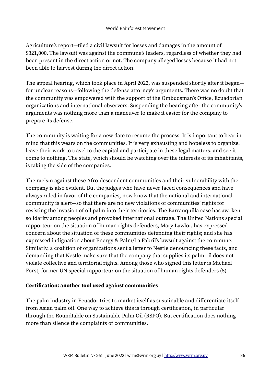Agriculture's report—filed a civil lawsuit for losses and damages in the amount of \$321,000. The lawsuit was against the commune's leaders, regardless of whether they had been present in the direct action or not. The company alleged losses because it had not been able to harvest during the direct action.

The appeal hearing, which took place in April 2022, was suspended shortly after it began for unclear reasons—following the defense attorney's arguments. There was no doubt that the community was empowered with the support of the Ombudsman's Office, Ecuadorian organizations and international observers. Suspending the hearing after the community's arguments was nothing more than a maneuver to make it easier for the company to prepare its defense.

The community is waiting for a new date to resume the process. It is important to bear in mind that this wears on the communities. It is very exhausting and hopeless to organize, leave their work to travel to the capital and participate in these legal matters, and see it come to nothing. The state, which should be watching over the interests of its inhabitants, is taking the side of the companies.

The racism against these Afro-descendent communities and their vulnerability with the company is also evident. But the judges who have never faced consequences and have always ruled in favor of the companies, now know that the national and international community is alert—so that there are no new violations of communities' rights for resisting the invasion of oil palm into their territories. The Barranquilla case has awoken solidarity among peoples and provoked international outrage. The United Nations special rapporteur on the situation of human rights defenders, Mary Lawlor, has expressed concern about the situation of these communities defending their rights; and she has expressed indignation about Energy & Palm/La Fabril's lawsuit against the commune. Similarly, a coalition of organizations sent a letter to Nestle denouncing these facts, and demanding that Nestle make sure that the company that supplies its palm oil does not violate collective and territorial rights. Among those who signed this letter is Michael Forst, former UN special rapporteur on the situation of human rights defenders (5).

#### **Certification: another tool used against communities**

The palm industry in Ecuador tries to market itself as sustainable and differentiate itself from Asian palm oil. One way to achieve this is through certification, in particular through the Roundtable on Sustainable Palm Oil (RSPO). But certification does nothing more than silence the complaints of communities.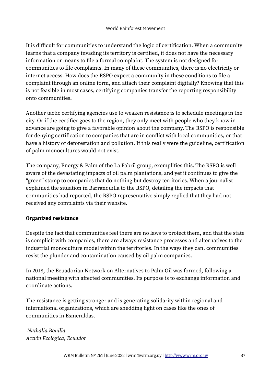It is difficult for communities to understand the logic of certification. When a community learns that a company invading its territory is certified, it does not have the necessary information or means to file a formal complaint. The system is not designed for communities to file complaints. In many of these communities, there is no electricity or internet access. How does the RSPO expect a community in these conditions to file a complaint through an online form, and attach their complaint digitally? Knowing that this is not feasible in most cases, certifying companies transfer the reporting responsibility onto communities.

Another tactic certifying agencies use to weaken resistance is to schedule meetings in the city. Or if the certifier goes to the region, they only meet with people who they know in advance are going to give a favorable opinion about the company. The RSPO is responsible for denying certification to companies that are in conflict with local communities, or that have a history of deforestation and pollution. If this really were the guideline, certification of palm monocultures would not exist.

The company, Energy & Palm of the La Fabril group, exemplifies this. The RSPO is well aware of the devastating impacts of oil palm plantations, and yet it continues to give the "green" stamp to companies that do nothing but destroy territories. When a journalist explained the situation in Barranquilla to the RSPO, detailing the impacts that communities had reported, the RSPO representative simply replied that they had not received any complaints via their website.

### **Organized resistance**

Despite the fact that communities feel there are no laws to protect them, and that the state is complicit with companies, there are always resistance processes and alternatives to the industrial monoculture model within the territories. In the ways they can, communities resist the plunder and contamination caused by oil palm companies.

In 2018, the Ecuadorian Network on Alternatives to Palm Oil was formed, following a national meeting with affected communities. Its purpose is to exchange information and coordinate actions.

The resistance is getting stronger and is generating solidarity within regional and international organizations, which are shedding light on cases like the ones of communities in Esmeraldas.

*Nathalia Bonilla Acción Ecológica, Ecuador*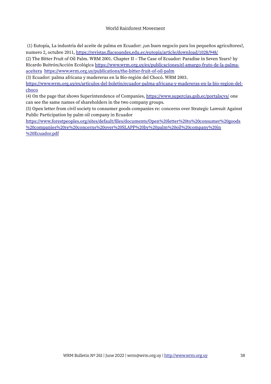#### World Rainforest Movement

(1) Eutopía, La industria del aceite de palma en Ecuador: ¿un buen negocio para los pequeños agricultores?, numero 2, octubre 2011,<https://revistas.flacsoandes.edu.ec/eutopia/article/download/1028/948/>

(2) The Bitter Fruit of Oil Palm. WRM 2001. Chapter II – The Case of Ecuador: Paradise in Seven Years? by Ricardo Buitrón/Acción Ecológica [https://www.wrm.org.uy/es/publicaciones/el-amargo-fruto-de-la-palma](https://www.wrm.org.uy/es/publicaciones/el-amargo-fruto-de-la-palma-aceitera)[aceitera](https://www.wrm.org.uy/es/publicaciones/el-amargo-fruto-de-la-palma-aceitera) <https://www.wrm.org.uy/publications/the-bitter-fruit-of-oil-palm>

(3) Ecuador: palma africana y madereras en la Bio-región del Chocó. WRM 2003.

[https://www.wrm.org.uy/es/articulos-del-boletin/ecuador-palma-africana-y-madereras-en-la-bio-region-del](https://www.wrm.org.uy/es/articulos-del-boletin/ecuador-palma-africana-y-madereras-en-la-bio-region-del-choco)[choco](https://www.wrm.org.uy/es/articulos-del-boletin/ecuador-palma-africana-y-madereras-en-la-bio-region-del-choco)

(4) On the page that shows Superintendence of Companies,<https://www.supercias.gob.ec/portalscvs/> one can see the same names of shareholders in the two company groups.

(5) Open letter from civil society to consumer goods companies re: concerns over Strategic Lawsuit Against Public Participation by palm oil company in Ecuador

[https://www.forestpeoples.org/sites/default/files/documents/Open%20letter%20to%20consumer%20goods](https://www.forestpeoples.org/sites/default/files/documents/Open%20letter%20to%20consumer%20goods%20companies%20re%20concerns%20over%20SLAPP%20by%20palm%20oil%20company%20in%20Ecuador.pdf) [%20companies%20re%20concerns%20over%20SLAPP%20by%20palm%20oil%20company%20in](https://www.forestpeoples.org/sites/default/files/documents/Open%20letter%20to%20consumer%20goods%20companies%20re%20concerns%20over%20SLAPP%20by%20palm%20oil%20company%20in%20Ecuador.pdf) [%20Ecuador.pdf](https://www.forestpeoples.org/sites/default/files/documents/Open%20letter%20to%20consumer%20goods%20companies%20re%20concerns%20over%20SLAPP%20by%20palm%20oil%20company%20in%20Ecuador.pdf)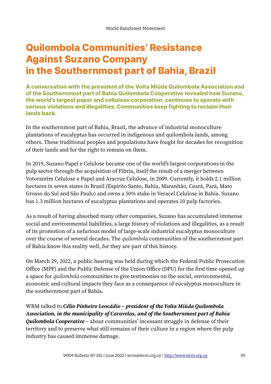# **Quilombola Communities' Resistance Against Suzano Company in the Southernmost part of Bahia, Brazil**

**A conversation with the president of the Volta Miúda Quilombola Association and of the Southernmost part of Bahia Quilombola Cooperative revealed how Suzano, the world's largest paper and cellulose corporation, continues to operate with serious violations and illegalities. Communities keep fighting to reclaim their lands back.**

In the southernmost part of Bahia, Brazil, the advance of industrial monoculture plantations of eucalyptus has occurred in indigenous and quilombola lands, among others. These traditional peoples and populations have fought for decades for recognition of their lands and for the right to remain on them.

In 2019, Suzano Papel e Celulose became one of the world's largest corporations in the pulp sector through the acquisition of Fibria, itself the result of a merger between Votorantim Celulose e Papel and Aracruz Celulose, in 2009. Currently, it holds 2.1 million hectares in seven states in Brazil (Espírito Santo, Bahia, Maranhão, Ceará, Pará, Mato Grosso do Sul and São Paulo) and owns a 50% stake in Veracel Celulose in Bahia. Suzano has 1.3 million hectares of eucalyptus plantations and operates 10 pulp factories.

As a result of having absorbed many other companies, Suzano has accumulated immense social and environmental liabilities, a large history of violations and illegalities, as a result of its promotion of a nefarious model of large-scale industrial eucalyptus monoculture over the course of several decades. The *quilombola* communities of the southernmost part of Bahia know this reality well, for they are part of this history.

On March 29, 2022, a public hearing was held during which the Federal Public Prosecution Office (MPF) and the Public Defense of the Union Office (DPU) for the first time opened up a space for *quilombola* communities to give testimonies on the social, environmental, economic and cultural impacts they face as a consequence of eucalyptus monoculture in the southernmost part of Bahia.

WRM talked to *Célio Pinheiro Leocádio – president of the Volta Miúda Quilombola Association, in the municipality of Caravelas, and of the Southernmost part of Bahia Quilombola Cooperative* – about communities' incessant struggle in defense of their territory and to preserve what still remains of their culture in a region where the pulp industry has caused immense damage.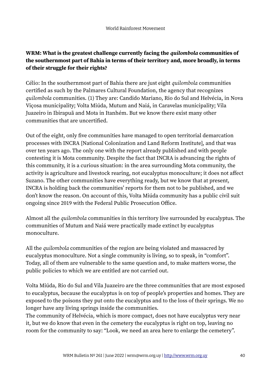### **WRM: What is the greatest challenge currently facing the** *quilombola* **communities of the southernmost part of Bahia in terms of their territory and, more broadly, in terms of their struggle for their rights?**

Célio: In the southernmost part of Bahia there are just eight *quilombola* communities certified as such by the Palmares Cultural Foundation, the agency that recognizes *quilombola* communities. (1) They are: Candido Mariano, Rio do Sul and Helvécia, in Nova Viçosa municipality; Volta Miúda, Mutum and Naiá, in Caravelas municipality; Vila Juazeiro in Ibirapuã and Mota in Itanhém. But we know there exist many other communities that are uncertified.

Out of the eight, only five communities have managed to open territorial demarcation processes with INCRA [National Colonization and Land Reform Institute], and that was over ten years ago. The only one with the report already published and with people contesting it is Mota community. Despite the fact that INCRA is advancing the rights of this community, it is a curious situation: in the area surrounding Mota community, the activity is agriculture and livestock rearing, not eucalyptus monoculture; it does not affect Suzano. The other communities have everything ready, but we know that at present, INCRA is holding back the communities' reports for them not to be published, and we don't know the reason. On account of this, Volta Miúda community has a public civil suit ongoing since 2019 with the Federal Public Prosecution Office.

Almost all the *quilombola* communities in this territory live surrounded by eucalyptus. The communities of Mutum and Naiá were practically made extinct by eucalyptus monoculture.

All the *quilombola* communities of the region are being violated and massacred by eucalyptus monoculture. Not a single community is living, so to speak, in "comfort". Today, all of them are vulnerable to the same question and, to make matters worse, the public policies to which we are entitled are not carried out.

Volta Miúda, Rio do Sul and Vila Juazeiro are the three communities that are most exposed to eucalyptus, because the eucalyptus is on top of people's properties and homes. They are exposed to the poisons they put onto the eucalyptus and to the loss of their springs. We no longer have any living springs inside the communities.

The community of Helvécia, which is more compact, does not have eucalyptus very near it, but we do know that even in the cemetery the eucalyptus is right on top, leaving no room for the community to say: "Look, we need an area here to enlarge the cemetery".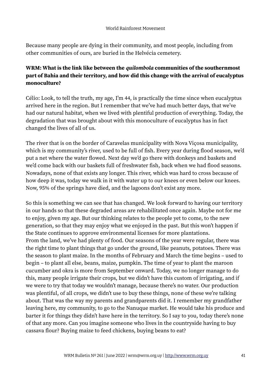Because many people are dying in their community, and most people, including from other communities of ours, are buried in the Helvécia cemetery.

### **WRM: What is the link like between the** *quilombola* **communities of the southernmost part of Bahia and their territory, and how did this change with the arrival of eucalyptus monoculture?**

Célio: Look, to tell the truth, my age, I'm 44, is practically the time since when eucalyptus arrived here in the region. But I remember that we've had much better days, that we've had our natural habitat, when we lived with plentiful production of everything. Today, the degradation that was brought about with this monoculture of eucalyptus has in fact changed the lives of all of us.

The river that is on the border of Caravelas municipality with Nova Viçosa municipality, which is my community's river, used to be full of fish. Every year during flood season, we'd put a net where the water flowed. Next day we'd go there with donkeys and baskets and we'd come back with our baskets full of freshwater fish, back when we had flood seasons. Nowadays, none of that exists any longer. This river, which was hard to cross because of how deep it was, today we walk in it with water up to our knees or even below our knees. Now, 95% of the springs have died, and the lagoons don't exist any more.

So this is something we can see that has changed. We look forward to having our territory in our hands so that these degraded areas are rehabilitated once again. Maybe not for me to enjoy, given my age. But our thinking relates to the people yet to come, to the new generation, so that they may enjoy what we enjoyed in the past. But this won't happen if the State continues to approve environmental licenses for more plantations. From the land, we've had plenty of food. Our seasons of the year were regular, there was the right time to plant things that go under the ground, like peanuts, potatoes. There was the season to plant maize. In the months of February and March the time begins – used to begin – to plant all else, beans, maize, pumpkin. The time of year to plant the maroon cucumber and okra is more from September onward. Today, we no longer manage to do this, many people irrigate their crops, but we didn't have this custom of irrigating, and if we were to try that today we wouldn't manage, because there's no water. Our production was plentiful, of all crops, we didn't use to buy these things, none of these we're talking about. That was the way my parents and grandparents did it. I remember my grandfather leaving here, my community, to go to the Nanuque market. He would take his produce and barter it for things they didn't have here in the territory. So I say to you, today there's none of that any more. Can you imagine someone who lives in the countryside having to buy cassava flour? Buying maize to feed chickens, buying beans to eat?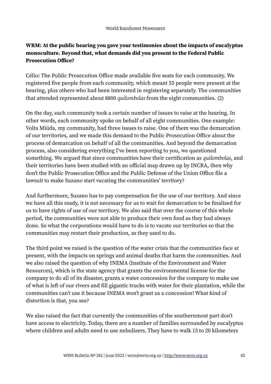### **WRM: At the public hearing you gave your testimonies about the impacts of eucalyptus monoculture. Beyond that, what demands did you present to the Federal Public Prosecution Office?**

Célio: The Public Prosecution Office made available five seats for each community. We registered five people from each community, which meant 55 people were present at the hearing, plus others who had been interested in registering separately. The communities that attended represented about 8800 *quilombolas* from the eight communities. (2)

On the day, each community took a certain number of issues to raise at the hearing. In other words, each community spoke on behalf of all eight communities. One example: Volta Miúda, my community, had three issues to raise. One of them was the demarcation of our territories, and we made this demand to the Public Prosecution Office about the process of demarcation on behalf of all the communities. And beyond the demarcation process, also considering everything I've been reporting to you, we questioned something. We argued that since communities have their certification as *quilombolas*, and their territories have been studied with an official map drawn up by INCRA, then why don't the Public Prosecution Office and the Public Defense of the Union Office file a lawsuit to make Suzano start vacating the communities' territory?

And furthermore, Suzano has to pay compensation for the use of our territory. And since we have all this ready, it is not necessary for us to wait for demarcation to be finalized for us to have rights of use of our territory. We also said that over the course of this whole period, the communities were not able to produce their own food as they had always done. So what the corporations would have to do is to vacate our territories so that the communities may restart their production, as they used to do.

The third point we raised is the question of the water crisis that the communities face at present, with the impacts on springs and animal deaths that harm the communities. And we also raised the question of why INEMA (Institute of the Environment and Water Resources), which is the state agency that grants the environmental license for the company to do all of its disaster, grants a water concession for the company to make use of what is left of our rivers and fill gigantic trucks with water for their plantation, while the communities can't use it because INEMA won't grant us a concession! What kind of distortion is that, you see?

We also raised the fact that currently the communities of the southernmost part don't have access to electricity. Today, there are a number of families surrounded by eucalyptus where children and adults need to use nebulizers. They have to walk 15 to 20 kilometers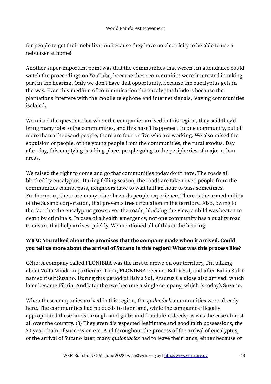for people to get their nebulization because they have no electricity to be able to use a nebulizer at home!

Another super-important point was that the communities that weren't in attendance could watch the proceedings on YouTube, because these communities were interested in taking part in the hearing. Only we don't have that opportunity, because the eucalyptus gets in the way. Even this medium of communication the eucalyptus hinders because the plantations interfere with the mobile telephone and internet signals, leaving communities isolated.

We raised the question that when the companies arrived in this region, they said they'd bring many jobs to the communities, and this hasn't happened. In one community, out of more than a thousand people, there are four or five who are working. We also raised the expulsion of people, of the young people from the communities, the rural exodus. Day after day, this emptying is taking place, people going to the peripheries of major urban areas.

We raised the right to come and go that communities today don't have. The roads all blocked by eucalyptus. During felling season, the roads are taken over, people from the communities cannot pass, neighbors have to wait half an hour to pass sometimes. Furthermore, there are many other hazards people experience. There is the armed militia of the Suzano corporation, that prevents free circulation in the territory. Also, owing to the fact that the eucalyptus grows over the roads, blocking the view, a child was beaten to death by criminals. In case of a health emergency, not one community has a quality road to ensure that help arrives quickly. We mentioned all of this at the hearing.

### **WRM: You talked about the promises that the company made when it arrived. Could you tell us more about the arrival of Suzano in this region? What was this process like?**

Célio: A company called FLONIBRA was the first to arrive on our territory, I'm talking about Volta Miúda in particular. Then, FLONIBRA became Bahia Sul, and after Bahia Sul it named itself Suzano. During this period of Bahia Sul, Aracruz Celulose also arrived, which later became Fibria. And later the two became a single company, which is today's Suzano.

When these companies arrived in this region, the *quilombola* communities were already here. The communities had no deeds to their land, while the companies illegally appropriated these lands through land grabs and fraudulent deeds, as was the case almost all over the country. (3) They even disrespected legitimate and good faith possessions, the 20-year chain of succession etc. And throughout the process of the arrival of eucalyptus, of the arrival of Suzano later, many *quilombolas* had to leave their lands, either because of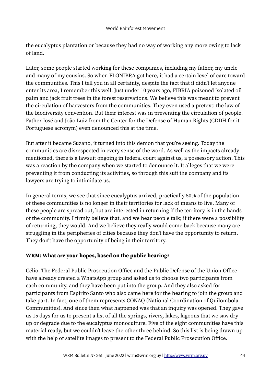the eucalyptus plantation or because they had no way of working any more owing to lack of land.

Later, some people started working for these companies, including my father, my uncle and many of my cousins. So when FLONIBRA got here, it had a certain level of care toward the communities. This I tell you in all certainty, despite the fact that it didn't let anyone enter its area, I remember this well. Just under 10 years ago, FIBRIA poisoned isolated oil palm and jack fruit trees in the forest reservations. We believe this was meant to prevent the circulation of harvesters from the communities. They even used a pretext: the law of the biodiversity convention. But their interest was in preventing the circulation of people. Father José and João Luiz from the Center for the Defense of Human Rights (CDDH for it Portuguese acronym) even denounced this at the time.

But after it became Suzano, it turned into this demon that you're seeing. Today the communities are disrespected in every sense of the word. As well as the impacts already mentioned, there is a lawsuit ongoing in federal court against us, a possessory action. This was a reaction by the company when we started to denounce it. It alleges that we were preventing it from conducting its activities, so through this suit the company and its lawyers are trying to intimidate us.

In general terms, we see that since eucalyptus arrived, practically 50% of the population of these communities is no longer in their territories for lack of means to live. Many of these people are spread out, but are interested in returning if the territory is in the hands of the community. I firmly believe that, and we hear people talk; if there were a possibility of returning, they would. And we believe they really would come back because many are struggling in the peripheries of cities because they don't have the opportunity to return. They don't have the opportunity of being in their territory.

### **WRM: What are your hopes, based on the public hearing?**

Célio: The Federal Public Prosecution Office and the Public Defense of the Union Office have already created a WhatsApp group and asked us to choose two participants from each community, and they have been put into the group. And they also asked for participants from Espírito Santo who also came here for the hearing to join the group and take part. In fact, one of them represents CONAQ (National Coordination of Quilombola Communities). And since then what happened was that an inquiry was opened. They gave us 15 days for us to present a list of all the springs, rivers, lakes, lagoons that we saw dry up or degrade due to the eucalyptus monoculture. Five of the eight communities have this material ready, but we couldn't leave the other three behind. So this list is being drawn up with the help of satellite images to present to the Federal Public Prosecution Office.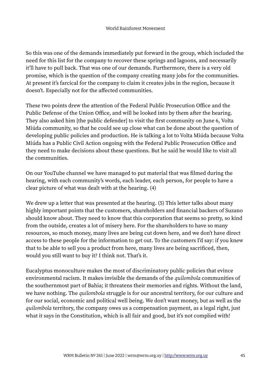So this was one of the demands immediately put forward in the group, which included the need for this list for the company to recover these springs and lagoons, and necessarily it'll have to pull back. That was one of our demands. Furthermore, there is a very old promise, which is the question of the company creating many jobs for the communities. At present it's farcical for the company to claim it creates jobs in the region, because it doesn't. Especially not for the affected communities.

These two points drew the attention of the Federal Public Prosecution Office and the Public Defense of the Union Office, and will be looked into by them after the hearing. They also asked him [the public defender] to visit the first community on June 6, Volta Miúda community, so that he could see up close what can be done about the question of developing public policies and production. He is talking a lot to Volta Miúda because Volta Miúda has a Public Civil Action ongoing with the Federal Public Prosecution Office and they need to make decisions about these questions. But he said he would like to visit all the communities.

On our YouTube channel we have managed to put material that was filmed during the hearing, with each community's words, each leader, each person, for people to have a clear picture of what was dealt with at the hearing. (4)

We drew up a letter that was presented at the hearing. (5) This letter talks about many highly important points that the customers, shareholders and financial backers of Suzano should know about. They need to know that this corporation that seems so pretty, so kind from the outside, creates a lot of misery here. For the shareholders to have so many resources, so much money, many lives are being cut down here, and we don't have direct access to these people for the information to get out. To the customers I'd say: if you knew that to be able to sell you a product from here, many lives are being sacrificed, then, would you still want to buy it? I think not. That's it.

Eucalyptus monoculture makes the most of discriminatory public policies that evince environmental racism. It makes invisible the demands of the *quilombola* communities of the southernmost part of Bahia; it threatens their memories and rights. Without the land, we have nothing. The *quilombola* struggle is for our ancestral territory, for our culture and for our social, economic and political well being. We don't want money, but as well as the *quilombola* territory, the company owes us a compensation payment, as a legal right, just what it says in the Constitution, which is all fair and good, but it's not complied with!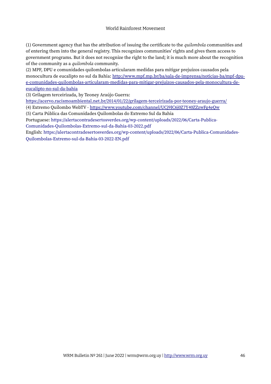#### World Rainforest Movement

(1) Government agency that has the attribution of issuing the certificate to the *quilombola* communities and of entering them into the general registry. This recognizes communities' rights and gives them access to government programs. But it does not recognize the right to the land; it is much more about the recognition of the community as a *quilombola* community.

(2) MPF, DPU e comunidades quilombolas articularam medidas para mitigar prejuízos causados pela monocultura de eucalipto no sul da Bahia: [http://www.mpf.mp.br/ba/sala-de-imprensa/noticias-ba/mpf-dpu](http://www.mpf.mp.br/ba/sala-de-imprensa/noticias-ba/mpf-dpu-e-comunidades-quilombolas-articularam-medidas-para-mitigar-prejuizos-causados-pela-monocultura-de-eucalipto-no-sul-da-bahia)[e-comunidades-quilombolas-articularam-medidas-para-mitigar-prejuizos-causados-pela-monocultura-de](http://www.mpf.mp.br/ba/sala-de-imprensa/noticias-ba/mpf-dpu-e-comunidades-quilombolas-articularam-medidas-para-mitigar-prejuizos-causados-pela-monocultura-de-eucalipto-no-sul-da-bahia)[eucalipto-no-sul-da-bahia](http://www.mpf.mp.br/ba/sala-de-imprensa/noticias-ba/mpf-dpu-e-comunidades-quilombolas-articularam-medidas-para-mitigar-prejuizos-causados-pela-monocultura-de-eucalipto-no-sul-da-bahia)

(3) Grilagem terceirizada, by Teoney Araújo Guerra:

<https://acervo.racismoambiental.net.br/2014/01/22/grilagem-terceirizada-por-teoney-araujo-guerra/>

(4) Extremo Quilombo WebTV -<https://www.youtube.com/channel/UCj9IC6j0Z7Y40ZZzwFg4eQw>

(5) Carta Pública das Comunidades Quilombolas do Extremo Sul da Bahia

Portuguese: [https://alertacontradesertosverdes.org/wp-content/uploads/2022/06/Carta-Publica-](https://alertacontradesertosverdes.org/wp-content/uploads/2022/06/Carta-Publica-Comunidades-Quilombolas-Extremo-sul-da-Bahia-03-2022.pdf)[Comunidades-Quilombolas-Extremo-sul-da-Bahia-03-2022.pdf](https://alertacontradesertosverdes.org/wp-content/uploads/2022/06/Carta-Publica-Comunidades-Quilombolas-Extremo-sul-da-Bahia-03-2022.pdf)

English: [https://alertacontradesertosverdes.org/wp-content/uploads/2022/06/Carta-Publica-Comunidades-](https://alertacontradesertosverdes.org/wp-content/uploads/2022/06/Carta-Publica-Comunidades-Quilombolas-Extremo-sul-da-Bahia-03-2022-EN.pdf)[Quilombolas-Extremo-sul-da-Bahia-03-2022-EN.pdf](https://alertacontradesertosverdes.org/wp-content/uploads/2022/06/Carta-Publica-Comunidades-Quilombolas-Extremo-sul-da-Bahia-03-2022-EN.pdf)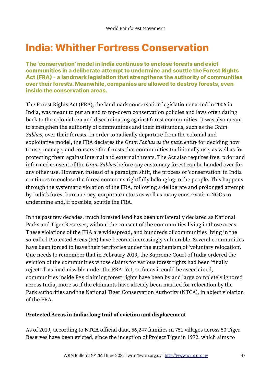# **India: Whither Fortress Conservation**

**The 'conservation' model in India continues to enclose forests and evict communities in a deliberate attempt to undermine and scuttle the Forest Rights Act (FRA) - a landmark legislation that strengthens the authority of communities over their forests. Meanwhile, companies are allowed to destroy forests, even inside the conservation areas.**

The Forest Rights Act (FRA), the landmark conservation legislation enacted in 2006 in India, was meant to put an end to top-down conservation policies and laws often dating back to the colonial era and discriminating against forest communities. It was also meant to strengthen the authority of communities and their institutions, such as the *Gram Sabhas*, over their forests. In order to radically departure from the colonial and exploitative model, the FRA declares the *Gram Sabhas as the main entity* for deciding how to use, manage, and conserve the forests that communities traditionally use, as well as for protecting them against internal and external threats. The Act also requires free, prior and informed consent of the *Gram Sabhas* before any customary forest can be handed over for any other use. However, instead of a paradigm shift, the process of 'conservation' in India continues to enclose the forest commons rightfully belonging to the people. This happens through the systematic violation of the FRA, following a deliberate and prolonged attempt by India's forest bureaucracy, corporate actors as well as many conservation NGOs to undermine and, if possible, scuttle the FRA.

In the past few decades, much forested land has been unilaterally declared as National Parks and Tiger Reserves, without the consent of the communities living in those areas. These violations of the FRA are widespread, and hundreds of communities living in the so-called Protected Areas (PA) have become increasingly vulnerable. Several communities have been forced to leave their territories under the euphemism of 'voluntary relocation'. One needs to remember that in February 2019, the Supreme Court of India ordered the eviction of the communities whose claims for various forest rights had been 'finally rejected' as inadmissible under the FRA. Yet, so far as it could be ascertained, communities inside PAs claiming forest rights have been by and large completely ignored across India, more so if the claimants have already been marked for relocation by the Park authorities and the National Tiger Conservation Authority (NTCA), in abject violation of the FRA.

#### **Protected Areas in India: long trail of eviction and displacement**

As of 2019, according to NTCA official data, 56,247 families in 751 villages across 50 Tiger Reserves have been evicted, since the inception of Project Tiger in 1972, which aims to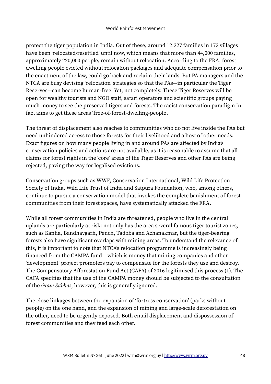protect the tiger population in India. Out of these, around 12,327 families in 173 villages have been 'relocated/resettled' until now, which means that more than 44,000 families, approximately 220,000 people, remain without relocation. According to the FRA, forest dwelling people evicted without relocation packages and adequate compensation prior to the enactment of the law, could go back and reclaim their lands. But PA managers and the NTCA are busy devising 'relocation' strategies so that the PAs—in particular the Tiger Reserves—can become human-free. Yet, not completely. These Tiger Reserves will be open for wealthy tourists and NGO staff, safari operators and scientific groups paying much money to see the preserved tigers and forests. The racist conservation paradigm in fact aims to get these areas 'free-of-forest-dwelling-people'.

The threat of displacement also reaches to communities who do not live inside the PAs but need unhindered access to those forests for their livelihood and a host of other needs. Exact figures on how many people living in and around PAs are affected by India's conservation policies and actions are not available, as it is reasonable to assume that all claims for forest rights in the 'core' areas of the Tiger Reserves and other PAs are being rejected, paving the way for legalised evictions.

Conservation groups such as WWF, Conservation International, Wild Life Protection Society of India, Wild Life Trust of India and Satpura Foundation, who, among others, continue to pursue a conservation model that invokes the complete banishment of forest communities from their forest spaces, have systematically attacked the FRA.

While all forest communities in India are threatened, people who live in the central uplands are particularly at risk: not only has the area several famous tiger tourist zones, such as Kanha, Bandhavgarh, Pench, Tadoba and Achanakmar, but the tiger-bearing forests also have significant overlaps with mining areas. To understand the relevance of this, it is important to note that NTCA's relocation programme is increasingly being financed from the CAMPA fund – which is money that mining companies and other 'development' project promoters pay to compensate for the forests they use and destroy. The Compensatory Afforestation Fund Act (CAFA) of 2016 legitimised this process (1). The CAFA specifies that the use of the CAMPA money should be subjected to the consultation of the *Gram Sabhas*, however, this is generally ignored.

The close linkages between the expansion of 'fortress conservation' (parks without people) on the one hand, and the expansion of mining and large-scale deforestation on the other, need to be urgently exposed. Both entail displacement and dispossession of forest communities and they feed each other.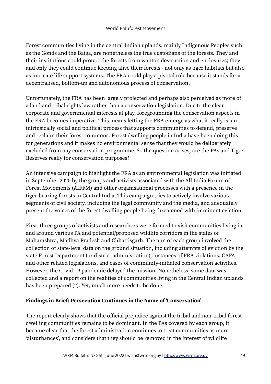Forest communities living in the central Indian uplands, mainly Indigenous Peoples such as the Gonds and the Baiga, are nonetheless the true custodians of the forests. They and their institutions could protect the forests from wanton destruction and enclosures; they and only they could continue keeping alive their forests - not only as tiger habitats but also as intricate life support systems. The FRA could play a pivotal role because it stands for a decentralised, bottom-up and autonomous process of conservation.

Unfortunately, the FRA has been largely projected and perhaps also perceived as more of a land and tribal rights law rather than a conservation legislation. Due to the clear corporate and governmental interests at play, foregrounding the conservation aspects in the FRA becomes imperative. This means letting the FRA emerge as what it really is: an intrinsically social and political process that supports communities to defend, preserve and reclaim their forest commons. Forest dwelling people in India have been doing this for generations and it makes no environmental sense that they would be deliberately excluded from any conservation programme. So the question arises, are the PAs and Tiger Reserves really for conservation purposes?

An intensive campaign to highlight the FRA as an environmental legislation was initiated in September 2020 by the groups and activists associated with the All India Forum of Forest Movements (AIFFM) and other organisational processes with a presence in the tiger-bearing forests in Central India. This campaign tries to actively involve various segments of civil society, including the legal community and the media, and adequately present the voices of the forest dwelling people being threatened with imminent eviction.

First, three groups of activists and researchers were formed to visit communities living in and around various PA and potential/proposed wildlife corridors in the states of Maharashtra, Madhya Pradesh and Chhattisgarh. The aim of each group involved the collection of state-level data on the ground situation, including attempts of eviction by the state Forest Department (or district administration), instances of FRA violations, CAFA, and other related legislations, and cases of community-initiated conservation activities. However, the Covid-19 pandemic delayed the mission. Nonetheless, some data was collected and a report on the realities of communities living in the Central Indian uplands has been prepared (2). Yet, much more needs to be done.

#### **Findings in Brief: Persecution Continues in the Name of 'Conservation'**

The report clearly shows that the official prejudice against the tribal and non-tribal forest dwelling communities remains to be dominant. In the PAs covered by each group, it became clear that the forest administration continues to treat communities as mere 'disturbances', and considers that they should be removed in the interest of wildlife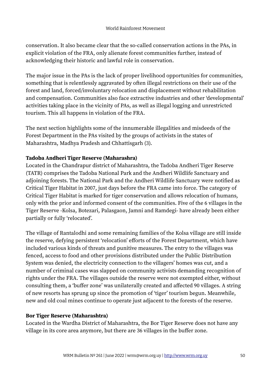conservation. It also became clear that the so-called conservation actions in the PAs, in explicit violation of the FRA, only alienate forest communities further, instead of acknowledging their historic and lawful role in conservation.

The major issue in the PAs is the lack of proper livelihood opportunities for communities, something that is relentlessly aggravated by often illegal restrictions on their use of the forest and land, forced/involuntary relocation and displacement without rehabilitation and compensation. Communities also face extractive industries and other 'developmental' activities taking place in the vicinity of PAs, as well as illegal logging and unrestricted tourism. This all happens in violation of the FRA.

The next section highlights some of the innumerable illegalities and misdeeds of the Forest Department in the PAs visited by the groups of activists in the states of Maharashtra, Madhya Pradesh and Chhattisgarh (3).

#### **Tadoba Andheri Tiger Reserve (Maharashra)**

Located in the Chandrapur district of Maharashtra, the Tadoba Andheri Tiger Reserve (TATR) comprises the Tadoba National Park and the Andheri Wildlife Sanctuary and adjoining forests. The National Park and the Andheri Wildlife Sanctuary were notified as Critical Tiger Habitat in 2007, just days before the FRA came into force. The category of Critical Tiger Habitat is marked for tiger conservation and allows relocation of humans, only with the prior and informed consent of the communities. Five of the 6 villages in the Tiger Reserve -Kolsa, Botezari, Palasgaon, Jamni and Ramdegi- have already been either partially or fully 'relocated'.

The village of Rantalodhi and some remaining families of the Kolsa village are still inside the reserve, defying persistent 'relocation' efforts of the Forest Department, which have included various kinds of threats and punitive measures. The entry to the villages was fenced, access to food and other provisions distributed under the Public Distribution System was denied, the electricity connection to the villagers' homes was cut, and a number of criminal cases was slapped on community activists demanding recognition of rights under the FRA. The villages outside the reserve were not exempted either, without consulting them, a 'buffer zone' was unilaterally created and affected 90 villages. A string of new resorts has sprung up since the promotion of 'tiger' tourism begun. Meanwhile, new and old coal mines continue to operate just adjacent to the forests of the reserve.

#### **Bor Tiger Reserve (Maharashtra)**

Located in the Wardha District of Maharashtra, the Bor Tiger Reserve does not have any village in its core area anymore, but there are 36 villages in the buffer zone.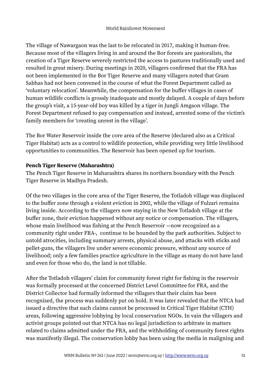The village of Nawargaon was the last to be relocated in 2017, making it human-free. Because most of the villagers living in and around the Bor forests are pastoralists, the creation of a Tiger Reserve severely restricted the access to pastures traditionally used and resulted in great misery. During meetings in 2020, villagers confirmed that the FRA has not been implemented in the Bor Tiger Reserve and many villagers noted that Gram Sabhas had not been convened in the course of what the Forest Department called as 'voluntary relocation'. Meanwhile, the compensation for the buffer villages in cases of human wildlife conflicts is grossly inadequate and mostly delayed. A couple of days before the group's visit, a 15-year-old boy was killed by a tiger in Jungli Amgaon village. The Forest Department refused to pay compensation and instead, arrested some of the victim's family members for 'creating unrest in the village'.

The Bor Water Reservoir inside the core area of the Reserve (declared also as a Critical Tiger Habitat) acts as a control to wildlife protection, while providing very little livelihood opportunities to communities. The Reservoir has been opened up for tourism.

#### **Pench Tiger Reserve (Maharashtra)**

The Pench Tiger Reserve in Maharashtra shares its northern boundary with the Pench Tiger Reserve in Madhya Pradesh.

Of the two villages in the core area of the Tiger Reserve, the Totladoh village was displaced to the buffer zone through a violent eviction in 2002, while the village of Fulzari remains living inside. According to the villagers now staying in the New Totladoh village at the buffer zone, their eviction happened without any notice or compensation. The villagers, whose main livelihood was fishing at the Pench Reservoir —now recognized as a community right under FRA-, continue to be hounded by the park authorities. Subject to untold atrocities, including summary arrests, physical abuse, and attacks with sticks and pellet-guns, the villagers live under severe economic pressure, without any source of livelihood; only a few families practice agriculture in the village as many do not have land and even for those who do, the land is not tillable.

After the Totladoh villagers' claim for community forest right for fishing in the reservoir was formally processed at the concerned District Level Committee for FRA, and the District Collector had formally informed the villagers that their claim has been recognized, the process was suddenly put on hold. It was later revealed that the NTCA had issued a directive that such claims cannot be processed in Critical Tiger Habitat (CTH) areas, following aggressive lobbying by local conservation NGOs. In vain the villagers and activist groups pointed out that NTCA has no legal jurisdiction to arbitrate in matters related to claims admitted under the FRA, and the withholding of community forest rights was manifestly illegal. The conservation lobby has been using the media in maligning and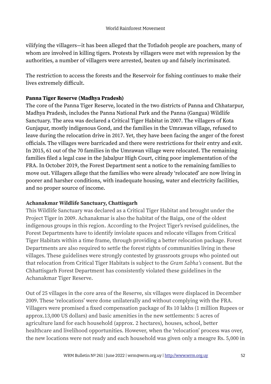vilifying the villagers—it has been alleged that the Totladoh people are poachers, many of whom are involved in killing tigers. Protests by villagers were met with repression by the authorities, a number of villagers were arrested, beaten up and falsely incriminated.

The restriction to access the forests and the Reservoir for fishing continues to make their lives extremely difficult.

#### **Panna Tiger Reserve (Madhya Pradesh)**

The core of the Panna Tiger Reserve, located in the two districts of Panna and Chhatarpur, Madhya Pradesh, includes the Panna National Park and the Panna (Gangua) Wildlife Sanctuary. The area was declared a Critical Tiger Habitat in 2007. The villagers of Kota Gunjapur, mostly indigenous Gond, and the families in the Umrawan village, refused to leave during the relocation drive in 2017. Yet, they have been facing the anger of the forest officials. The villages were barricaded and there were restrictions for their entry and exit. In 2015, 61 out of the 70 families in the Umrawan village were relocated. The remaining families filed a legal case in the Jabalpur High Court, citing poor implementation of the FRA. In October 2019, the Forest Department sent a notice to the remaining families to move out. Villagers allege that the families who were already 'relocated' are now living in poorer and harsher conditions, with inadequate housing, water and electricity facilities, and no proper source of income.

#### **Achanakmar Wildlife Sanctuary, Chattisgarh**

This Wildlife Sanctuary was declared as a Critical Tiger Habitat and brought under the Project Tiger in 2009. Achanakmar is also the habitat of the Baiga, one of the oldest indigenous groups in this region. According to the Project Tiger's revised guidelines, the Forest Departments have to identify inviolate spaces and relocate villages from Critical Tiger Habitats within a time frame, through providing a better relocation package. Forest Departments are also required to settle the forest rights of communities living in these villages. These guidelines were strongly contested by grassroots groups who pointed out that relocation from Critical Tiger Habitats is subject to the *Gram Sabha's* consent. But the Chhattisgarh Forest Department has consistently violated these guidelines in the Achanakmar Tiger Reserve.

Out of 25 villages in the core area of the Reserve, six villages were displaced in December 2009. These 'relocations' were done unilaterally and without complying with the FRA. Villagers were promised a fixed compensation package of Rs 10 lakhs (1 million Rupees or approx.13,000 US dollars) and basic amenities in the new settlements: 5 acres of agriculture land for each household (approx. 2 hectares), houses, school, better healthcare and livelihood opportunities. However, when the 'relocation' process was over, the new locations were not ready and each household was given only a meagre Rs. 5,000 in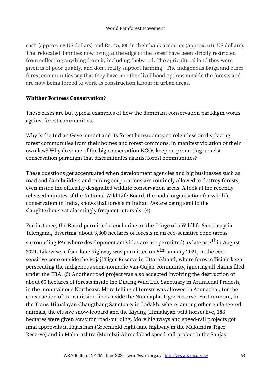cash (approx. 68 US dollars) and Rs. 45,000 in their bank accounts (approx. 616 US dollars). The 'relocated' families now living at the edge of the forest have been strictly restricted from collecting anything from it, including fuelwood. The agricultural land they were given is of poor quality, and don't really support farming. The indigenous Baiga and other forest communities say that they have no other livelihood options outside the forests and are now being forced to work as construction labour in urban areas.

#### **Whither Fortress Conservation?**

These cases are but typical examples of how the dominant conservation paradigm works against forest communities.

Why is the Indian Government and its forest bureaucracy so relentless on displacing forest communities from their homes and forest commons, in manifest violation of their own law? Why do some of the big conservation NGOs keep on promoting a racist conservation paradigm that discriminates against forest communities?

These questions get accentuated when development agencies and big businesses such as road and dam builders and mining corporations are routinely allowed to destroy forests, even inside the officially designated wildlife conservation areas. A look at the recently released minutes of the National Wild Life Board, the nodal organisation for wildlife conservation in India, shows that forests in Indian PAs are being sent to the slaughterhouse at alarmingly frequent intervals. (4)

For instance, the Board permitted a coal mine on the fringe of a Wildlife Sanctuary in Telengana, 'diverting' about 3,300 hectares of forests in an eco-sensitive zone (areas surrounding PAs where development activities are not permitted) as late as  $7^{\text{th}}$ in August 2021. Likewise, a four-lane highway was permitted on  $5<sup>th</sup>$  January 2021, in the ecosensitive zone outside the Rajaji Tiger Reserve in Uttarakhand, where forest officials keep persecuting the indigenous semi-nomadic Van-Gujjar community, ignoring all claims filed under the FRA. (5) Another road project was also accepted involving the destruction of about 60 hectares of forests inside the Dibang Wild Life Sanctuary in Arunachal Pradesh, in the mountainous Northeast. More felling of forests was allowed in Arunachal, for the construction of transmission lines inside the Namdapha Tiger Reserve. Furthermore, in the Trans-Himalayan Changthang Sanctuary in Ladakh, where, among other endangered animals, the elusive snow-leopard and the Kiyang (Himalayan wild horse) live, 188 hectares were given away for road-building. More highways and speed-rail projects got final approvals in Rajasthan (Greenfield eight-lane highway in the Mukundra Tiger Reserve) and in Maharashtra (Mumbai-Ahmedabad speed-rail project in the Sanjay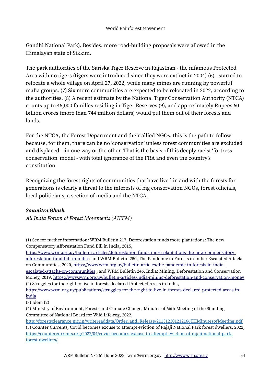Gandhi National Park). Besides, more road-building proposals were allowed in the Himalayan state of Sikkim.

The park authorities of the Sariska Tiger Reserve in Rajasthan - the infamous Protected Area with no tigers (tigers were introduced since they were extinct in 2004) (6) - started to relocate a whole village on April 27, 2022, while many mines are running by powerful mafia groups. (7) Six more communities are expected to be relocated in 2022, according to the authorities. (8) A recent estimate by the National Tiger Conservation Authority (NTCA) counts up to 46,000 families residing in Tiger Reserves (9), and approximately Rupees 60 billion crores (more than 744 million dollars) would put them out of their forests and lands.

For the NTCA, the Forest Department and their allied NGOs, this is the path to follow because, for them, there can be no 'conservation' unless forest communities are excluded and displaced – in one way or the other. That is the basis of this deeply racist 'fortress conservation' model - with total ignorance of the FRA and even the country's constitution!

Recognizing the forest rights of communities that have lived in and with the forests for generations is clearly a threat to the interests of big conservation NGOs, forest officials, local politicians, a section of media and the NTCA.

#### *Soumitra Ghosh*

*All India Forum of Forest Movements (AIFFM)*

[https://www.wrm.org.uy/bulletin-articles/deforestation-funds-more-plantations-the-new-compensatory](https://www.wrm.org.uy/bulletin-articles/deforestation-funds-more-plantations-the-new-compensatory-afforestation-fund-bill-in-india)[afforestation-fund-bill-in-india](https://www.wrm.org.uy/bulletin-articles/deforestation-funds-more-plantations-the-new-compensatory-afforestation-fund-bill-in-india) ; and WRM Bulletin 250, The Pandemic in Forests in India: Escalated Attacks on Communities, 2020, [https://www.wrm.org.uy/bulletin-articles/the-pandemic-in-forests-in-india](https://www.wrm.org.uy/bulletin-articles/the-pandemic-in-forests-in-india-escalated-attacks-on-communities)[escalated-attacks-on-communities](https://www.wrm.org.uy/bulletin-articles/the-pandemic-in-forests-in-india-escalated-attacks-on-communities) ; and WRM Bulletin 246, India: Mining, Deforestation and Conservation Money, 2019,<https://www.wrm.org.uy/bulletin-articles/india-mining-deforestation-and-conservation-money>

(2) Struggles for the right to live in forests declared Protected Areas in India,

[https://www.wrm.org.uy/publications/struggles-for-the-right-to-live-in-forests-declared-protected-areas-in](https://www.wrm.org.uy/publications/struggles-for-the-right-to-live-in-forests-declared-protected-areas-in-india)[india](https://www.wrm.org.uy/publications/struggles-for-the-right-to-live-in-forests-declared-protected-areas-in-india)

<sup>(1)</sup> See for further information: WRM Bulletin 217, Deforestation funds more plantations: The new Compensatory Afforestation Fund Bill in India, 2015,

<sup>(3)</sup> Idem (2)

<sup>(4)</sup> Ministry of Environment, Forests and Climate Change, Minutes of 66th Meeting of the Standing Committee of National Board for Wild Life-reg, 2022,

[http://forestsclearance.nic.in/writereaddata/Order\\_and\\_Release/211312301212166THMinutesofMeeting.pdf](http://forestsclearance.nic.in/writereaddata/Order_and_Release/211312301212166THMinutesofMeeting.pdf) (5) Counter Currents, Covid becomes excuse to attempt eviction of Rajaji National Park forest dwellers, 2022, [https://countercurrents.org/2022/04/covid-becomes-excuse-to-attempt-eviction-of-rajaji-national-park](https://countercurrents.org/2022/04/covid-becomes-excuse-to-attempt-eviction-of-rajaji-national-park-forest-dwellers/)[forest-dwellers/](https://countercurrents.org/2022/04/covid-becomes-excuse-to-attempt-eviction-of-rajaji-national-park-forest-dwellers/)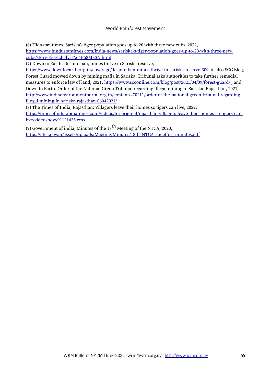#### World Rainforest Movement

(6) Hidustan times, Sariska's tiger population goes up to 20 with three new cubs, 2022,

[https://www.hindustantimes.com/india-news/sariska-s-tiger-population-goes-up-to-20-with-three-new](https://www.hindustantimes.com/india-news/sariska-s-tiger-population-goes-up-to-20-with-three-new-cubs/story-Ei0gIzhglyiTAo4B58MkSN.html)[cubs/story-Ei0gIzhglyiTAo4B58MkSN.html](https://www.hindustantimes.com/india-news/sariska-s-tiger-population-goes-up-to-20-with-three-new-cubs/story-Ei0gIzhglyiTAo4B58MkSN.html)

(7) Down to Earth, Despite ban, mines thrive in Sariska reserve,

<https://www.downtoearth.org.in/coverage/despite-ban-mines-thrive-in-sariska-reserve-30946>, also SCC Blog, Forest Guard mowed down by mining mafia in Sariska: Tribunal asks authorities to take further remedial measures to enforce law of land, 2021, <https://www.scconline.com/blog/post/2021/04/09/forest-guard/> , and Down to Earth, Order of the National Green Tribunal regarding illegal mining in Sariska, Rajasthan, 2021, [http://www.indiaenvironmentportal.org.in/content/470211/order-of-the-national-green-tribunal-regarding](http://www.indiaenvironmentportal.org.in/content/470211/order-of-the-national-green-tribunal-regarding-illegal-mining-in-sariska-rajasthan-06042021/)[illegal-mining-in-sariska-rajasthan-06042021/](http://www.indiaenvironmentportal.org.in/content/470211/order-of-the-national-green-tribunal-regarding-illegal-mining-in-sariska-rajasthan-06042021/)

(8) The Times of India, Rajasthan: Villagers leave their homes so tigers can live, 2022,

[https://timesofindia.indiatimes.com/videos/toi-original/rajasthan-villagers-leave-their-homes-so-tigers-can](https://timesofindia.indiatimes.com/videos/toi-original/rajasthan-villagers-leave-their-homes-so-tigers-can-live/videoshow/91121435.cms)[live/videoshow/91121435.cms](https://timesofindia.indiatimes.com/videos/toi-original/rajasthan-villagers-leave-their-homes-so-tigers-can-live/videoshow/91121435.cms)

(9) Government of india, Minutes of the  $18<sup>th</sup>$  Meeting of the NTCA, 2020, [https://ntca.gov.in/assets/uploads/Meeting/Minutes/18th\\_NTCA\\_meeting\\_minutes.pdf](https://ntca.gov.in/assets/uploads/Meeting/Minutes/18th_NTCA_meeting_minutes.pdf)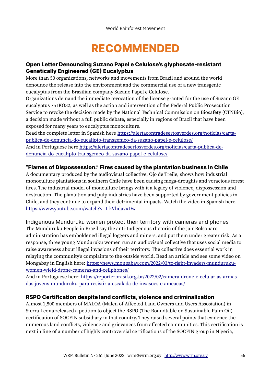# **RECOMMENDED**

#### **Open Letter Denouncing Suzano Papel e Celulose's glyphosate-resistant Genetically Engineered (GE) Eucalyptus**

More than 50 organizations, networks and movements from Brazil and around the world denounce the release into the environment and the commercial use of a new transgenic eucalyptus from the Brazilian company Suzano Papel e Celulose.

Organizations demand the immediate revocation of the license granted for the use of Suzano GE eucalyptus 751KO32, as well as the action and intervention of the Federal Public Prosecution Service to revoke the decision made by the National Technical Commission on Biosafety (CTNBio), a decision made without a full public debate, especially in regions of Brazil that have been exposed for many years to eucalyptus monoculture.

Read the complete letter in Spanish here [https://alertacontradesertosverdes.org/noticias/carta](https://alertacontradesertosverdes.org/noticias/carta-publica-de-denuncia-do-eucalipto-transgenico-da-suzano-papel-e-celulose/)[publica-de-denuncia-do-eucalipto-transgenico-da-suzano-papel-e-celulose/](https://alertacontradesertosverdes.org/noticias/carta-publica-de-denuncia-do-eucalipto-transgenico-da-suzano-papel-e-celulose/)  And in Portuguese here [https://alertacontradesertosverdes.org/noticias/carta-publica-de](https://alertacontradesertosverdes.org/noticias/carta-publica-de-denuncia-do-eucalipto-transgenico-da-suzano-papel-e-celulose/)[denuncia-do-eucalipto-transgenico-da-suzano-papel-e-celulose/](https://alertacontradesertosverdes.org/noticias/carta-publica-de-denuncia-do-eucalipto-transgenico-da-suzano-papel-e-celulose/)

#### **"Flames of Dispossession." Fires caused by the plantation business in Chile**

A documentary produced by the audiovisual collective, Ojo de Treile, shows how industrial monoculture plantations in southern Chile have been causing mega-droughts and voracious forest fires. The industrial model of monculture brings with it a legacy of violence, dispossession and destruction. The plantation and pulp industries have been supported by government policies in Chile, and they continue to expand their detrimental impacts. Watch the video in Spanish here. <https://www.youtube.com/watch?v=1-kVhdavxDw>

Indigenous Munduruku women protect their territory with cameras and phones The Munduruku People in Brazil say the anti-Indigenous rhetoric of the Jair Bolsonaro administration has emboldened illegal loggers and miners, and put them under greater risk. As a response, three young Munduruku women run an audiovisual collective that uses social media to raise awareness about illegal invasions of their territory. The collective does essential work in relaying the community's complaints to the outside world. Read an article and see some video on Mongabay in English here: [https://news.mongabay.com/2022/03/to-fight-invaders-munduruku](https://news.mongabay.com/2022/03/to-fight-invaders-munduruku-women-wield-drone-cameras-and-cellphones/)[women-wield-drone-cameras-and-cellphones/](https://news.mongabay.com/2022/03/to-fight-invaders-munduruku-women-wield-drone-cameras-and-cellphones/)

And in Portuguese here: [https://reporterbrasil.org.br/2022/02/camera-drone-e-celular-as-armas](https://reporterbrasil.org.br/2022/02/camera-drone-e-celular-as-armas-das-jovens-munduruku-para-resistir-a-escalada-de-invasoes-e-ameacas/)[das-jovens-munduruku-para-resistir-a-escalada-de-invasoes-e-ameacas/](https://reporterbrasil.org.br/2022/02/camera-drone-e-celular-as-armas-das-jovens-munduruku-para-resistir-a-escalada-de-invasoes-e-ameacas/)

#### **RSPO Certification despite land conflicts, violence and criminalization**

Almost 1,500 members of MALOA (Malen of Affected Land Owners and Users Assosiation) in Sierra Leona released a petition to object the RSPO (The Roundtable on Sustainable Palm Oil) certification of SOCFIN subsidiary in that country. They raised several points that evidence the numerous land conflicts, violence and grievances from affected communities. This certification is next in line of a number of highly controversial certifications of the SOCFIN group in Nigeria,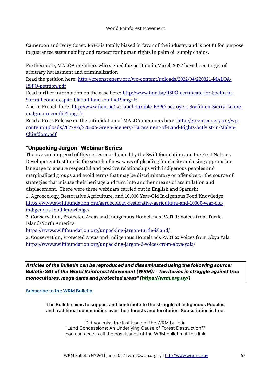Cameroon and Ivory Coast. RSPO is totally biased in favor of the industry and is not fit for purpose to guarantee sustainability and respect for human rights in palm oil supply chains.

Furthermore, MALOA members who signed the petition in March 2022 have been target of arbitrary harassment and criminalization

Read the petition here: [http://greenscenery.org/wp-content/uploads/2022/04/220321-MALOA-](http://greenscenery.org/wp-content/uploads/2022/04/220321-MALOA-RSPO-petition.pdf)[RSPO-petition.pdf](http://greenscenery.org/wp-content/uploads/2022/04/220321-MALOA-RSPO-petition.pdf)

Read further information on the case here: [http://www.fian.be/RSPO-certificate-for-Socfin-in-](http://www.fian.be/RSPO-certificate-for-Socfin-in-Sierra-Leone-despite-blatant-land-conflict?lang=fr)[Sierra-Leone-despite-blatant-land-conflict?lang=fr](http://www.fian.be/RSPO-certificate-for-Socfin-in-Sierra-Leone-despite-blatant-land-conflict?lang=fr)

And in French here: [http://www.fian.be/Le-label-durable-RSPO-octroye-a-Socfin-en-Sierra-Leone](http://www.fian.be/Le-label-durable-RSPO-octroye-a-Socfin-en-Sierra-Leone-malgre-un-conflit?lang=fr)[malgre-un-conflit?lang=fr](http://www.fian.be/Le-label-durable-RSPO-octroye-a-Socfin-en-Sierra-Leone-malgre-un-conflit?lang=fr)

Read a Press Release on the Intimidation of MALOA members here: [http://greenscenery.org/wp](http://greenscenery.org/wp-content/uploads/2022/05/220506-Green-Scenery-Harassment-of-Land-Rights-Activist-in-Malen-Chiefdom.pdf)[content/uploads/2022/05/220506-Green-Scenery-Harassment-of-Land-Rights-Activist-in-Malen-](http://greenscenery.org/wp-content/uploads/2022/05/220506-Green-Scenery-Harassment-of-Land-Rights-Activist-in-Malen-Chiefdom.pdf)[Chiefdom.pdf](http://greenscenery.org/wp-content/uploads/2022/05/220506-Green-Scenery-Harassment-of-Land-Rights-Activist-in-Malen-Chiefdom.pdf)

#### **"Unpacking Jargon" Webinar Series**

The overarching goal of this series coordinated by the Swift foundation and the First Nations Development Institute is the search of new ways of pleading for clarity and using appropriate language to ensure respectful and positive relationships with indigenous peoples and marginalized groups and avoid terms that may be discriminatory or offensive or the source of strategies that misuse their heritage and turn into another means of assimilation and displacement. There were three webinars carried out in English and Spanish:

1. Agroecology, Restorative Agriculture, and 10,000 Year-Old Indigenous Food Knowledge [https://www.swiftfoundation.org/agroecology-restorative-agriculture-and-10000-year-old](https://www.swiftfoundation.org/agroecology-restorative-agriculture-and-10000-year-old-indigenous-food-knowledge/)[indigenous-food-knowledge/](https://www.swiftfoundation.org/agroecology-restorative-agriculture-and-10000-year-old-indigenous-food-knowledge/) 

2. Conservation, Protected Areas and Indigenous Homelands PART 1: Voices from Turtle Island/North America

<https://www.swiftfoundation.org/unpacking-jargon-turtle-island/>

3. Conservation, Protected Areas and Indigenous Homelands PART 2: Voices from Abya Yala <https://www.swiftfoundation.org/unpacking-jargon-3-voices-from-abya-yala/>

*Articles of the Bulletin can be reproduced and disseminated using the following source: Bulletin 261 of the World Rainforest Movement (WRM): "Territories in struggle against tree monocultures, mega dams and protected areas" [\(https://wrm.org.uy/](https://wrm.org.uy/))*

#### **[Subscribe to the WRM Bulletin](https://www.wrm.org.uy/bulletin/subscribe)**

**The Bulletin aims to support and contribute to the struggle of Indigenous Peoples and traditional communities over their forests and territories. Subscription is free.**

> Did you miss the last issue of the WRM bulletin "Land Concessions: An Underlying Cause of Forest Destruction"? [You can access all the past issues of the WRM bulletin at this link](https://www.wrm.org.uy/bulletins)